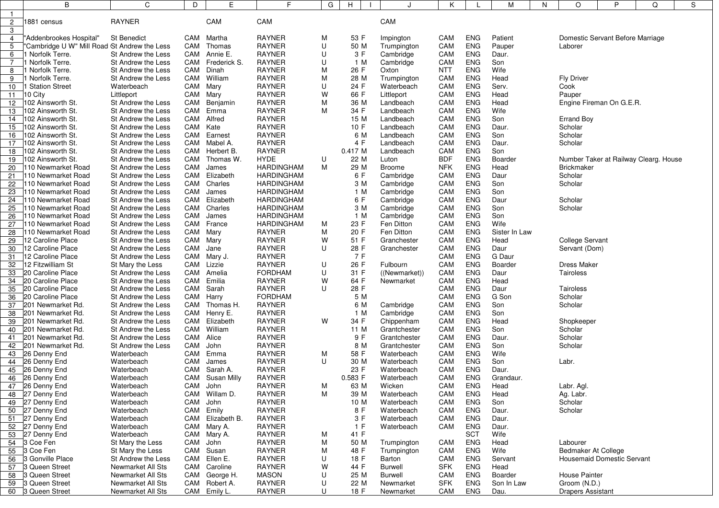|                 | B                                            | C                  | D         | Е                | F.                | G | н          | J               | Κ          |            | М             | Ν | O                                 | P | Q                                     | S |  |  |
|-----------------|----------------------------------------------|--------------------|-----------|------------------|-------------------|---|------------|-----------------|------------|------------|---------------|---|-----------------------------------|---|---------------------------------------|---|--|--|
|                 |                                              |                    |           |                  |                   |   |            |                 |            |            |               |   |                                   |   |                                       |   |  |  |
| $\mathbf{2}$    | 1881 census                                  | <b>RAYNER</b>      |           | CAM              | CAM               |   |            | CAM             |            |            |               |   |                                   |   |                                       |   |  |  |
| 3               |                                              |                    |           |                  |                   |   |            |                 |            |            |               |   |                                   |   |                                       |   |  |  |
| 4               | "Addenbrookes Hospital"                      | <b>St Benedict</b> | CAM       | Martha           | <b>RAYNER</b>     | M | 53 F       | Impington       | CAM        | <b>ENG</b> | Patient       |   | Domestic Servant Before Marriage  |   |                                       |   |  |  |
| 5               | "Cambridge U W" Mill Road St Andrew the Less |                    | CAM       | Thomas           | <b>RAYNER</b>     | U | 50 M       | Trumpington     | CAM        | <b>ENG</b> | Pauper        |   | Laborer                           |   |                                       |   |  |  |
| 6               | Norfolk Terre.                               | St Andrew the Less |           | CAM Annie E.     | <b>RAYNER</b>     | U | 3 F        | Cambridge       | CAM        | <b>ENG</b> | Daur.         |   |                                   |   |                                       |   |  |  |
| $\overline{7}$  | Norfolk Terre.                               | St Andrew the Less |           | CAM Frederick S. | <b>RAYNER</b>     | U | 1 M        | Cambridge       | CAM        | <b>ENG</b> | Son           |   |                                   |   |                                       |   |  |  |
| 8               | Norfolk Terre.                               | St Andrew the Less |           | CAM Dinah        | <b>RAYNER</b>     | M | 26 F       | Oxton           | <b>NTT</b> | ENG        | Wife          |   |                                   |   |                                       |   |  |  |
| 9               | Norfolk Terre.                               | St Andrew the Less |           | CAM William      | <b>RAYNER</b>     | M | 28 M       | Trumpington     | CAM        | <b>ENG</b> | Head          |   | <b>Fly Driver</b>                 |   |                                       |   |  |  |
| 10              | <b>Station Street</b>                        | Waterbeach         | CAM       | Mary             | <b>RAYNER</b>     | U | 24 F       | Waterbeach      | CAM        | <b>ENG</b> | Serv.         |   | Cook                              |   |                                       |   |  |  |
| 11              | 10 City                                      | Littleport         | CAM Mary  |                  | <b>RAYNER</b>     | W | 66 F       | Littleport      | CAM        | <b>ENG</b> | Head          |   | Pauper                            |   |                                       |   |  |  |
| 12 <sup>°</sup> | 102 Ainsworth St.                            | St Andrew the Less |           | CAM Benjamin     | <b>RAYNER</b>     | M | 36 M       | Landbeach       | CAM        | <b>ENG</b> | Head          |   | Engine Fireman On G.E.R.          |   |                                       |   |  |  |
| 13              | 102 Ainsworth St.                            | St Andrew the Less |           | CAM Emma         | <b>RAYNER</b>     | M | 34 F       | Landbeach       | CAM        | <b>ENG</b> | Wife          |   |                                   |   |                                       |   |  |  |
| 14              | 102 Ainsworth St.                            | St Andrew the Less |           | CAM Alfred       | <b>RAYNER</b>     |   | 15 M       | Landbeach       | CAM        | <b>ENG</b> | Son           |   | <b>Errand Boy</b>                 |   |                                       |   |  |  |
|                 |                                              |                    |           |                  | <b>RAYNER</b>     |   |            |                 |            |            |               |   |                                   |   |                                       |   |  |  |
| 15              | 102 Ainsworth St.                            | St Andrew the Less | CAM Kate  |                  |                   |   | 10 F       | Landbeach       | CAM        | <b>ENG</b> | Daur.         |   | Scholar                           |   |                                       |   |  |  |
| 16              | 102 Ainsworth St.                            | St Andrew the Less | CAM       | Earnest          | <b>RAYNER</b>     |   | 6 M<br>4 F | Landbeach       | CAM        | <b>ENG</b> | Son           |   | Scholar                           |   |                                       |   |  |  |
| 17              | 102 Ainsworth St.                            | St Andrew the Less |           | CAM Mabel A.     | <b>RAYNER</b>     |   |            | Landbeach       | CAM        | <b>ENG</b> | Daur.         |   | Scholar                           |   |                                       |   |  |  |
| 18              | 102 Ainsworth St.                            | St Andrew the Less |           | CAM Herbert B.   | <b>RAYNER</b>     |   | 0.417M     | Landbeach       | CAM        | <b>ENG</b> | Son           |   |                                   |   |                                       |   |  |  |
| 19              | 102 Ainsworth St.                            | St Andrew the Less |           | CAM Thomas W.    | <b>HYDE</b>       | U | 22 M       | Luton           | <b>BDF</b> | <b>ENG</b> | Boarder       |   |                                   |   | Number Taker at Railway Clearg. House |   |  |  |
| 20              | 110 Newmarket Road                           | St Andrew the Less | CAM       | James            | <b>HARDINGHAM</b> | M | 29 M       | Broome          | <b>NFK</b> | <b>ENG</b> | Head          |   | <b>Brickmaker</b>                 |   |                                       |   |  |  |
| 21              | 110 Newmarket Road                           | St Andrew the Less | CAM       | Elizabeth        | <b>HARDINGHAM</b> |   | 6 F        | Cambridge       | CAM        | <b>ENG</b> | Daur          |   | Scholar                           |   |                                       |   |  |  |
| 22              | 110 Newmarket Road                           | St Andrew the Less | CAM       | Charles          | <b>HARDINGHAM</b> |   | 3 M        | Cambridge       | CAM        | <b>ENG</b> | Son           |   | Scholar                           |   |                                       |   |  |  |
| 23              | l 10 Newmarket Road                          | St Andrew the Less | CAM       | James            | <b>HARDINGHAM</b> |   | 1 M        | Cambridge       | CAM        | <b>ENG</b> | Son           |   |                                   |   |                                       |   |  |  |
| 24              | 110 Newmarket Road                           | St Andrew the Less | CAM       | Elizabeth        | <b>HARDINGHAM</b> |   | 6 F        | Cambridge       | CAM        | <b>ENG</b> | Daur          |   | Scholar                           |   |                                       |   |  |  |
| 25              | 110 Newmarket Road                           | St Andrew the Less |           | CAM Charles      | <b>HARDINGHAM</b> |   | 3 M        | Cambridge       | CAM        | <b>ENG</b> | Son           |   | Scholar                           |   |                                       |   |  |  |
| 26              | 110 Newmarket Road                           | St Andrew the Less | CAM       | James            | <b>HARDINGHAM</b> |   | 1 M        | Cambridge       | CAM        | <b>ENG</b> | Son           |   |                                   |   |                                       |   |  |  |
| 27              | 110 Newmarket Road                           | St Andrew the Less |           | CAM France       | <b>HARDINGHAM</b> | M | 23 F       | Fen Ditton      | CAM        | <b>ENG</b> | Wife          |   |                                   |   |                                       |   |  |  |
| 28              | 110 Newmarket Road                           | St Andrew the Less | CAM Mary  |                  | <b>RAYNER</b>     | M | 20 F       | Fen Ditton      | CAM        | <b>ENG</b> | Sister In Law |   |                                   |   |                                       |   |  |  |
| 29              | 12 Caroline Place                            | St Andrew the Less | CAM Mary  |                  | <b>RAYNER</b>     | W | 51 F       | Granchester     | CAM        | <b>ENG</b> | Head          |   | <b>College Servant</b>            |   |                                       |   |  |  |
| 30              | 12 Caroline Place                            | St Andrew the Less | CAM       | Jane             | <b>RAYNER</b>     | U | 28 F       | Granchester     | CAM        | <b>ENG</b> | Daur          |   | Servant (Dom)                     |   |                                       |   |  |  |
| 31              | 12 Caroline Place                            | St Andrew the Less |           | CAM Mary J.      | <b>RAYNER</b>     |   | 7 F        |                 | CAM        | <b>ENG</b> | G Daur        |   |                                   |   |                                       |   |  |  |
| 32              | 12 Fitzwilliam St                            | St Mary the Less   |           | CAM Lizzie       | <b>RAYNER</b>     | U | 26 F       | Fulbourn        | CAM        | <b>ENG</b> | Boarder       |   | <b>Dress Maker</b>                |   |                                       |   |  |  |
| 33              | 20 Caroline Place                            | St Andrew the Less |           | CAM Amelia       | <b>FORDHAM</b>    | U | 31 F       | ((Newtonarket)) | CAM        | <b>ENG</b> | Daur          |   | Tairoless                         |   |                                       |   |  |  |
| 34              | 20 Caroline Place                            | St Andrew the Less | CAM       | Emilia           | <b>RAYNER</b>     | W | 64 F       | Newmarket       | CAM        | <b>ENG</b> | Head          |   |                                   |   |                                       |   |  |  |
| 35              | 20 Caroline Place                            | St Andrew the Less | CAM       | Sarah            | <b>RAYNER</b>     | U | 28 F       |                 | CAM        | <b>ENG</b> | Daur          |   | Tairoless                         |   |                                       |   |  |  |
| 36              | 20 Caroline Place                            | St Andrew the Less | CAM Harry |                  | <b>FORDHAM</b>    |   | 5 M        |                 | CAM        | <b>ENG</b> | G Son         |   | Scholar                           |   |                                       |   |  |  |
| 37              | 201 Newmarket Rd.                            | St Andrew the Less |           | CAM Thomas H.    | <b>RAYNER</b>     |   | 6 M        | Cambridge       | CAM        | <b>ENG</b> | Son           |   | Scholar                           |   |                                       |   |  |  |
| 38              | 201 Newmarket Rd.                            | St Andrew the Less |           | CAM Henry E.     | <b>RAYNER</b>     |   | 1 M        | Cambridge       | CAM        | <b>ENG</b> | Son           |   |                                   |   |                                       |   |  |  |
| 39              | 201 Newmarket Rd.                            | St Andrew the Less |           | CAM Elizabeth    | <b>RAYNER</b>     | W | 34 F       | Chippenham      | CAM        | <b>ENG</b> | Head          |   | Shopkeeper                        |   |                                       |   |  |  |
| 40              | 201 Newmarket Rd.                            | St Andrew the Less |           | CAM William      | <b>RAYNER</b>     |   | 11 M       | Grantchester    | CAM        | <b>ENG</b> | Son           |   | Scholar                           |   |                                       |   |  |  |
| 41              | 201 Newmarket Rd.                            | St Andrew the Less | CAM       | Alice            | <b>RAYNER</b>     |   | 9 F        | Grantchester    | CAM        | <b>ENG</b> | Daur.         |   | Scholar                           |   |                                       |   |  |  |
|                 | 42 201 Newmarket Rd.                         | St Andrew the Less | CAM       | John             | <b>RAYNER</b>     |   | 8 M        | Grantchester    | CAM        | <b>ENG</b> | Son           |   | Scholar                           |   |                                       |   |  |  |
|                 | 43 26 Denny End                              | Waterbeach         | CAM       | Emma             | <b>RAYNER</b>     | M | 58 F       | Waterbeach      | CAM        | <b>ENG</b> | Wife          |   |                                   |   |                                       |   |  |  |
|                 | 44 26 Denny End                              | Waterbeach         | CAM       | James            | <b>RAYNER</b>     | U | 30 M       | Waterbeach      | CAM        | <b>ENG</b> | Son           |   | Labr.                             |   |                                       |   |  |  |
|                 | 45 26 Denny End                              | Waterbeach         | CAM       | Sarah A.         | <b>RAYNER</b>     |   | 23 F       | Waterbeach      | CAM        | <b>ENG</b> | Daur.         |   |                                   |   |                                       |   |  |  |
|                 | 46 26 Denny End                              | Waterbeach         |           | CAM Susan Milly  | <b>RAYNER</b>     |   | 0.583 F    | Waterbeach      | CAM        | <b>ENG</b> | Grandaur.     |   |                                   |   |                                       |   |  |  |
|                 | 47 26 Denny End                              | Waterbeach         | CAM       | John             | <b>RAYNER</b>     | M | 63 M       | Wicken          | CAM        | <b>ENG</b> | Head          |   | Labr. Agl.                        |   |                                       |   |  |  |
|                 | 48 27 Denny End                              | Waterbeach         |           | CAM Willam D.    | <b>RAYNER</b>     | M | 39 M       | Waterbeach      | CAM        | <b>ENG</b> | Head          |   | Ag. Labr.                         |   |                                       |   |  |  |
|                 | 49 27 Denny End                              | Waterbeach         | CAM John  |                  | RAYNER            |   | 10 M       | Waterbeach      | CAM        | <b>ENG</b> | Son           |   | Scholar                           |   |                                       |   |  |  |
|                 | 50 27 Denny End                              | Waterbeach         |           | CAM Emily        | <b>RAYNER</b>     |   | 8 F        | Waterbeach      | CAM        | <b>ENG</b> | Daur.         |   | Scholar                           |   |                                       |   |  |  |
|                 | 51 27 Denny End                              | Waterbeach         |           | CAM Elizabeth B. | <b>RAYNER</b>     |   | 3 F        | Waterbeach      | CAM        | <b>ENG</b> | Daur.         |   |                                   |   |                                       |   |  |  |
|                 | 52 27 Denny End                              | Waterbeach         |           | CAM Mary A.      | <b>RAYNER</b>     |   | 1 F        | Waterbeach      | CAM        | <b>ENG</b> | Daur.         |   |                                   |   |                                       |   |  |  |
|                 | 53 27 Denny End                              | Waterbeach         |           | CAM Mary A.      | <b>RAYNER</b>     | M | 41 F       |                 |            | <b>SCT</b> | Wife          |   |                                   |   |                                       |   |  |  |
|                 | 54 3 Coe Fen                                 | St Mary the Less   | CAM John  |                  | RAYNER            | M | 50 M       | Trumpington     | CAM        | <b>ENG</b> | Head          |   | Labourer                          |   |                                       |   |  |  |
|                 | 55 3 Coe Fen                                 | St Mary the Less   |           | CAM Susan        | <b>RAYNER</b>     | M | 48 F       | Trumpington     | CAM        | <b>ENG</b> | Wife          |   | Bedmaker At College               |   |                                       |   |  |  |
| 56              | 3 Gonville Place                             | St Andrew the Less |           | CAM Ellen E.     | <b>RAYNER</b>     | U | 18 F       | Barton          | CAM        | <b>ENG</b> | Servant       |   | <b>Housemaid Domestic Servant</b> |   |                                       |   |  |  |
| 57              | 3 Queen Street                               | Newmarket All Sts  |           | CAM Caroline     | <b>RAYNER</b>     | W | 44 F       | <b>Burwell</b>  | <b>SFK</b> | <b>ENG</b> | Head          |   |                                   |   |                                       |   |  |  |
| 58              | 3 Queen Street                               | Newmarket All Sts  |           | CAM George H.    | <b>MASON</b>      | U | 25 M       | <b>Burwell</b>  | CAM        | <b>ENG</b> | Boarder       |   | House Painter                     |   |                                       |   |  |  |
| 59              | 3 Queen Street                               | Newmarket All Sts  |           | CAM Robert A.    | <b>RAYNER</b>     | U | 22 M       | Newmarket       | <b>SFK</b> | <b>ENG</b> | Son In Law    |   | Groom (N.D.)                      |   |                                       |   |  |  |
| 60              | 3 Queen Street                               | Newmarket All Sts  |           | CAM Emily L.     | <b>RAYNER</b>     | U | 18 F       | Newmarket       | CAM        | ENG        | Dau.          |   | <b>Drapers Assistant</b>          |   |                                       |   |  |  |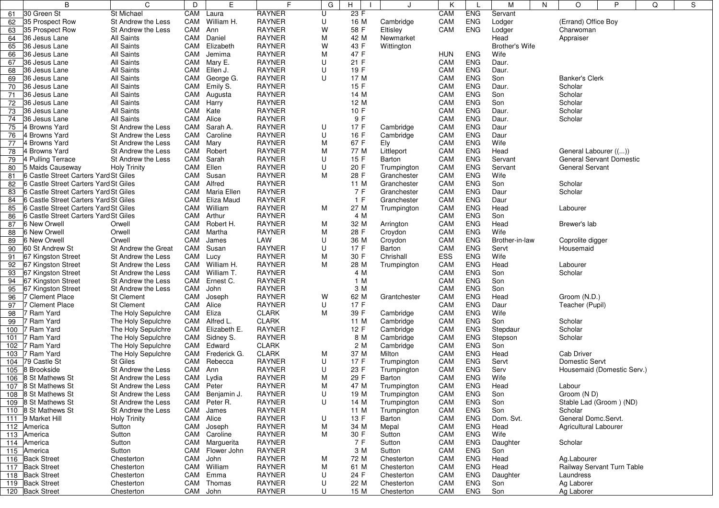| 23 F<br>30 Green St<br>St Michael<br>CAM<br><b>RAYNER</b><br>U<br>CAM<br><b>ENG</b><br>Servant<br>Laura<br>61<br>35 Prospect Row<br>William H.<br><b>RAYNER</b><br>CAM<br><b>ENG</b><br>Lodger<br>(Errand) Office Boy<br>St Andrew the Less<br>CAM<br>U<br>16 M<br>62<br>Cambridge<br>CAM<br><b>RAYNER</b><br>W<br>CAM<br><b>ENG</b><br>35 Prospect Row<br>St Andrew the Less<br>Ann<br>58 F<br>Eltisley<br>Lodger<br>63<br>Charwoman<br><b>RAYNER</b><br>42 M<br>All Saints<br>CAM<br>Daniel<br>M<br>Newmarket<br>Head<br>64<br>36 Jesus Lane<br>Appraiser<br>W<br>36 Jesus Lane<br>All Saints<br>CAM<br>Elizabeth<br><b>RAYNER</b><br>43 F<br>Wittington<br>Brother's Wife<br>65<br>All Saints<br><b>RAYNER</b><br>47 F<br><b>ENG</b><br>36 Jesus Lane<br>CAM<br>Jemima<br>м<br><b>HUN</b><br>Wife<br>66<br><b>RAYNER</b><br>21 F<br>CAM<br><b>ENG</b><br>36 Jesus Lane<br>All Saints<br>CAM<br>Mary E.<br>U<br>Daur.<br>67<br>U<br>19 F<br>36 Jesus Lane<br><b>All Saints</b><br>CAM<br>Ellen J.<br><b>RAYNER</b><br>CAM<br><b>ENG</b><br>68<br>Daur.<br>All Saints<br><b>RAYNER</b><br>17 M<br>CAM<br><b>ENG</b><br>CAM<br>George G.<br>U<br>Son<br><b>Banker's Clerk</b><br>69<br>36 Jesus Lane<br>All Saints<br><b>RAYNER</b><br>15 F<br>CAM<br><b>ENG</b><br>70<br>CAM<br>Emily S.<br>36 Jesus Lane<br>Daur.<br>Scholar<br>14 M<br>CAM<br>All Saints<br>CAM<br><b>RAYNER</b><br><b>ENG</b><br>Scholar<br>71<br>36 Jesus Lane<br>Augusta<br>Son<br>All Saints<br>12 M<br>CAM<br><b>ENG</b><br>72<br>36 Jesus Lane<br>CAM<br>Harry<br><b>RAYNER</b><br>Son<br>Scholar<br>All Saints<br><b>RAYNER</b><br>10 F<br>CAM<br>73<br>36 Jesus Lane<br>CAM Kate<br><b>ENG</b><br>Scholar<br>Daur.<br>All Saints<br><b>RAYNER</b><br>9 F<br>CAM<br><b>ENG</b><br>36 Jesus Lane<br>CAM Alice<br>Scholar<br>74<br>Daur.<br>Sarah A.<br><b>RAYNER</b><br>17 F<br>CAM<br><b>ENG</b><br>75<br>4 Browns Yard<br>St Andrew the Less<br>CAM<br>U<br>Daur<br>Cambridge<br>CAM<br><b>RAYNER</b><br>16 F<br>CAM<br><b>ENG</b><br>4 Browns Yard<br>St Andrew the Less<br>Caroline<br>U<br>Daur<br>76<br>Cambridge<br><b>RAYNER</b><br>M<br>67 F<br>CAM<br><b>ENG</b><br>Wife<br>CAM<br>Mary<br>Ely<br>77<br>l Browns Yard<br>St Andrew the Less<br>4 Browns Yard<br>St Andrew the Less<br>CAM Robert<br><b>RAYNER</b><br>77 M<br>CAM<br><b>ENG</b><br>Head<br>General Labourer (())<br>78<br>м<br>Littleport<br>CAM<br>Sarah<br><b>RAYNER</b><br>U<br>15F<br>CAM<br><b>ENG</b><br>General Servant Domestic<br>79<br>4 Pulling Terrace<br>St Andrew the Less<br>Servant<br>Barton<br>CAM<br>Ellen<br><b>RAYNER</b><br>U<br>5 Maids Causeway<br><b>Holy Trinity</b><br>20 F<br>CAM<br><b>ENG</b><br><b>General Servant</b><br>Trumpington<br>Servant<br>80<br>6 Castle Street Carters Yard St Giles<br>CAM<br>Susan<br><b>RAYNER</b><br>м<br>28 F<br>CAM<br><b>ENG</b><br>Wife<br>81<br>Granchester<br>6 Castle Street Carters Yard St Giles<br><b>RAYNER</b><br>CAM<br><b>ENG</b><br>CAM<br>Alfred<br>11 M<br>Son<br>Scholar<br>82<br>Granchester<br>7 F<br>6 Castle Street Carters Yard St Giles<br>CAM<br>Maria Ellen<br><b>RAYNER</b><br>CAM<br><b>ENG</b><br>Daur<br>Scholar<br>83<br>Granchester<br>1 F<br><b>ENG</b><br>6 Castle Street Carters Yard St Giles<br>CAM<br>Eliza Maud<br><b>RAYNER</b><br>Granchester<br>CAM<br>Daur<br>84<br>6 Castle Street Carters Yard St Giles<br>CAM William<br><b>RAYNER</b><br>M<br>27 M<br>CAM<br><b>ENG</b><br>Head<br>Labourer<br>85<br>Trumpington<br><b>RAYNER</b><br>4 M<br>CAM<br><b>ENG</b><br>Son<br>6 Castle Street Carters Yard St Giles<br>CAM<br>Arthur<br>86<br>CAM<br><b>6 New Orwell</b><br>CAM<br>Robert H.<br><b>RAYNER</b><br>м<br>32 M<br><b>ENG</b><br>Head<br>Brewer's lab<br>87<br>Orwell<br>Arrington<br>28 F<br>CAM<br>Wife<br>6 New Orwell<br>CAM<br>Martha<br><b>RAYNER</b><br><b>ENG</b><br>88<br>Orwell<br>м<br>Croydon<br>U<br>CAM<br><b>ENG</b><br>6 New Orwell<br>Orwell<br>CAM<br>James<br>LAW<br>36 M<br>Brother-in-law<br>89<br>Croydon<br>Coprolite digger<br>U<br>60 St Andrew St<br>St Andrew the Great<br>CAM<br>Susan<br><b>RAYNER</b><br>17 F<br>CAM<br><b>ENG</b><br>Housemaid<br>90<br>Barton<br>Servt<br>CAM Lucy<br>30 F<br>ESS<br><b>ENG</b><br>67 Kingston Street<br>St Andrew the Less<br><b>RAYNER</b><br>м<br>Chrishall<br>Wife<br>91<br><b>RAYNER</b><br>M<br>67 Kingston Street<br>CAM William H.<br>28 M<br>CAM<br><b>ENG</b><br>Head<br>Labourer<br>92<br>St Andrew the Less<br>Trumpington<br>CAM<br>William T.<br><b>RAYNER</b><br>4 M<br><b>ENG</b><br>67 Kingston Street<br>St Andrew the Less<br>CAM<br>Son<br>Scholar<br>93<br><b>RAYNER</b><br>1 M<br>CAM<br><b>ENG</b><br>67 Kingston Street<br>St Andrew the Less<br>CAM<br>Ernest C.<br>Son<br>94<br>3 M<br>CAM<br>67 Kingston Street<br>CAM<br>John<br><b>RAYNER</b><br><b>ENG</b><br>95<br>St Andrew the Less<br>Son<br>W<br>CAM<br><b>ENG</b><br>96<br>7 Clement Place<br><b>St Clement</b><br>CAM<br>Joseph<br><b>RAYNER</b><br>62 M<br>Head<br>Groom (N.D.)<br>Grantchester<br>7 Clement Place<br><b>St Clement</b><br>CAM Alice<br><b>RAYNER</b><br>U<br>17 F<br>CAM<br><b>ENG</b><br>Daur<br>Teacher (Pupil)<br>97<br>CAM Eliza<br><b>CLARK</b><br>39 F<br>CAM<br><b>ENG</b><br>Wife<br>98<br>7 Ram Yard<br>The Holy Sepulchre<br>м<br>Cambridge<br><b>CLARK</b><br>' Ram Yard<br>The Holy Sepulchre<br>CAM Alfred L.<br>11 M<br>CAM<br><b>ENG</b><br>Scholar<br>99<br>Cambridge<br>Son<br>12 F<br>CAM<br>7 Ram Yard<br>The Holy Sepulchre<br>CAM<br>Elizabeth E.<br><b>RAYNER</b><br><b>ENG</b><br>Scholar<br>100<br>Cambridge<br>Stepdaur<br>8 M<br>CAM<br><b>ENG</b><br>' Ram Yard<br>The Holy Sepulchre<br>CAM<br>Sidney S.<br><b>RAYNER</b><br>Scholar<br>101<br>Cambridge<br>Stepson<br>CAM Edward<br><b>CLARK</b><br>2 M<br>CAM<br><b>ENG</b><br>102<br>' Ram Yard<br>The Holy Sepulchre<br>Cambridge<br>Son<br>CAM Frederick G.<br><b>CLARK</b><br>CAM<br><b>ENG</b><br><b>Cab Driver</b><br>7 Ram Yard<br>The Holy Sepulchre<br>м<br>37 M<br>Milton<br>Head<br>103<br><b>St Giles</b><br><b>RAYNER</b><br>Domestic Servt<br>79 Castle St<br>CAM Rebecca<br>U<br>17 F<br>CAM<br><b>ENG</b><br>104<br>Servt<br>Trumpington<br>23 F<br>8 Brookside<br>CAM Ann<br><b>RAYNER</b><br>U<br>CAM<br><b>ENG</b><br>St Andrew the Less<br>Trumpington<br>Serv<br>Housemaid (Domestic Serv.)<br>105<br>106 8 St Mathews St<br>CAM Lydia<br><b>RAYNER</b><br>м<br>29 F<br>CAM<br><b>ENG</b><br>Wife<br>St Andrew the Less<br>Barton<br>Labour<br>CAM Peter<br>107 B St Mathews St<br>St Andrew the Less<br>RAYNER<br>M<br>47 M<br>Trumpington<br><b>CAM</b><br>ENG<br>Head<br>U<br><b>ENG</b><br>108 8 St Mathews St<br>CAM Benjamin J.<br><b>RAYNER</b><br>19 M<br>Trumpington<br>CAM<br>Son<br>Groom (N D)<br>St Andrew the Less<br>CAM Peter R.<br>U<br>109 8 St Mathews St<br>St Andrew the Less<br>RAYNER<br>14 M<br>Trumpington<br>CAM<br><b>ENG</b><br>Stable Lad (Groom) (ND)<br>Son<br>CAM James<br><b>RAYNER</b><br>11 M<br>CAM<br><b>ENG</b><br>Scholar<br>110 8 St Mathews St<br>St Andrew the Less<br>Trumpington<br>Son<br><b>RAYNER</b><br>U<br>13 F<br>Dom. Svt.<br>General Domc.Servt.<br>111 9 Market Hill<br><b>Holy Trinity</b><br>CAM Alice<br>Barton<br>CAM<br><b>ENG</b><br><b>RAYNER</b><br>34 M<br>CAM<br>Sutton<br>CAM<br>M<br>Mepal<br><b>ENG</b><br>Head<br>Agricultural Labourer<br>112 America<br>Joseph<br>CAM<br>Sutton<br>CAM<br>Caroline<br><b>RAYNER</b><br>M<br>30 F<br>Sutton<br><b>ENG</b><br>Wife<br>113 America<br>CAM Marguerita<br>7 F<br>Sutton<br><b>RAYNER</b><br>CAM<br><b>ENG</b><br>Daughter<br>Scholar<br>114 America<br>Sutton<br>3 M<br>CAM<br><b>ENG</b><br>115 America<br>Sutton<br>CAM<br>Flower John<br><b>RAYNER</b><br>Sutton<br>Son<br><b>RAYNER</b><br>116 Back Street<br>Chesterton<br>CAM John<br>M<br>72 M<br>CAM<br><b>ENG</b><br>Head<br>Ag.Labourer<br>Chesterton<br>117 Back Street<br>CAM William<br><b>RAYNER</b><br>61 M<br>CAM<br><b>ENG</b><br>Chesterton<br>M<br>Chesterton<br>Head<br>Railway Servant Turn Table<br>118 Back Street<br>Chesterton<br>CAM Emma<br><b>RAYNER</b><br>U<br>24 F<br>Chesterton<br>CAM<br><b>ENG</b><br>Laundress<br>Daughter<br><b>RAYNER</b><br>CAM<br><b>ENG</b><br>119 Back Street<br>Chesterton<br>CAM<br>Thomas<br>U<br>22 M<br>Chesterton<br>Son<br>Ag Laborer<br><b>RAYNER</b><br>U<br>15 M<br><b>ENG</b><br>120 Back Street<br>CAM John<br>Chesterton<br>CAM<br>Son<br>Ag Laborer<br>Chesterton | B | C | D | E | F. | G | Н | J | K | M | N | O<br>P<br>Q |  |  | S |
|---------------------------------------------------------------------------------------------------------------------------------------------------------------------------------------------------------------------------------------------------------------------------------------------------------------------------------------------------------------------------------------------------------------------------------------------------------------------------------------------------------------------------------------------------------------------------------------------------------------------------------------------------------------------------------------------------------------------------------------------------------------------------------------------------------------------------------------------------------------------------------------------------------------------------------------------------------------------------------------------------------------------------------------------------------------------------------------------------------------------------------------------------------------------------------------------------------------------------------------------------------------------------------------------------------------------------------------------------------------------------------------------------------------------------------------------------------------------------------------------------------------------------------------------------------------------------------------------------------------------------------------------------------------------------------------------------------------------------------------------------------------------------------------------------------------------------------------------------------------------------------------------------------------------------------------------------------------------------------------------------------------------------------------------------------------------------------------------------------------------------------------------------------------------------------------------------------------------------------------------------------------------------------------------------------------------------------------------------------------------------------------------------------------------------------------------------------------------------------------------------------------------------------------------------------------------------------------------------------------------------------------------------------------------------------------------------------------------------------------------------------------------------------------------------------------------------------------------------------------------------------------------------------------------------------------------------------------------------------------------------------------------------------------------------------------------------------------------------------------------------------------------------------------------------------------------------------------------------------------------------------------------------------------------------------------------------------------------------------------------------------------------------------------------------------------------------------------------------------------------------------------------------------------------------------------------------------------------------------------------------------------------------------------------------------------------------------------------------------------------------------------------------------------------------------------------------------------------------------------------------------------------------------------------------------------------------------------------------------------------------------------------------------------------------------------------------------------------------------------------------------------------------------------------------------------------------------------------------------------------------------------------------------------------------------------------------------------------------------------------------------------------------------------------------------------------------------------------------------------------------------------------------------------------------------------------------------------------------------------------------------------------------------------------------------------------------------------------------------------------------------------------------------------------------------------------------------------------------------------------------------------------------------------------------------------------------------------------------------------------------------------------------------------------------------------------------------------------------------------------------------------------------------------------------------------------------------------------------------------------------------------------------------------------------------------------------------------------------------------------------------------------------------------------------------------------------------------------------------------------------------------------------------------------------------------------------------------------------------------------------------------------------------------------------------------------------------------------------------------------------------------------------------------------------------------------------------------------------------------------------------------------------------------------------------------------------------------------------------------------------------------------------------------------------------------------------------------------------------------------------------------------------------------------------------------------------------------------------------------------------------------------------------------------------------------------------------------------------------------------------------------------------------------------------------------------------------------------------------------------------------------------------------------------------------------------------------------------------------------------------------------------------------------------------------------------------------------------------------------------------------------------------------------------------------------------------------------------------------------------------------------------------------------------------------------------------------------------------------------------------------------------------------------------------------------------------------------------------------------------------------------------------------------------------------------------------------------------------------------------------------------------------------------------------------------------------------------------------------------------------------------------------------------------------------------------------------------------------------------------------------------------------------------------------------------------------------------------------------------------------------------------------------------------------------------------------------------------------------------------------------------------------------------------------------------------------------------------------------------------------------------------------------------------------------------------------------------------------------------------------------------------------------------------------------------------------------------------------------------------------------------------------------------------------------------------------------------------------------------------------------------------------------------------------------------------------------------------------------------------------------------------------------------------------------------------------------|---|---|---|---|----|---|---|---|---|---|---|-------------|--|--|---|
|                                                                                                                                                                                                                                                                                                                                                                                                                                                                                                                                                                                                                                                                                                                                                                                                                                                                                                                                                                                                                                                                                                                                                                                                                                                                                                                                                                                                                                                                                                                                                                                                                                                                                                                                                                                                                                                                                                                                                                                                                                                                                                                                                                                                                                                                                                                                                                                                                                                                                                                                                                                                                                                                                                                                                                                                                                                                                                                                                                                                                                                                                                                                                                                                                                                                                                                                                                                                                                                                                                                                                                                                                                                                                                                                                                                                                                                                                                                                                                                                                                                                                                                                                                                                                                                                                                                                                                                                                                                                                                                                                                                                                                                                                                                                                                                                                                                                                                                                                                                                                                                                                                                                                                                                                                                                                                                                                                                                                                                                                                                                                                                                                                                                                                                                                                                                                                                                                                                                                                                                                                                                                                                                                                                                                                                                                                                                                                                                                                                                                                                                                                                                                                                                                                                                                                                                                                                                                                                                                                                                                                                                                                                                                                                                                                                                                                                                                                                                                                                                                                                                                                                                                                                                                                                                                                                                                                                                                                                                                                                                                                                                                                                                                                                                                                                                                                                                                                                                                                                         |   |   |   |   |    |   |   |   |   |   |   |             |  |  |   |
|                                                                                                                                                                                                                                                                                                                                                                                                                                                                                                                                                                                                                                                                                                                                                                                                                                                                                                                                                                                                                                                                                                                                                                                                                                                                                                                                                                                                                                                                                                                                                                                                                                                                                                                                                                                                                                                                                                                                                                                                                                                                                                                                                                                                                                                                                                                                                                                                                                                                                                                                                                                                                                                                                                                                                                                                                                                                                                                                                                                                                                                                                                                                                                                                                                                                                                                                                                                                                                                                                                                                                                                                                                                                                                                                                                                                                                                                                                                                                                                                                                                                                                                                                                                                                                                                                                                                                                                                                                                                                                                                                                                                                                                                                                                                                                                                                                                                                                                                                                                                                                                                                                                                                                                                                                                                                                                                                                                                                                                                                                                                                                                                                                                                                                                                                                                                                                                                                                                                                                                                                                                                                                                                                                                                                                                                                                                                                                                                                                                                                                                                                                                                                                                                                                                                                                                                                                                                                                                                                                                                                                                                                                                                                                                                                                                                                                                                                                                                                                                                                                                                                                                                                                                                                                                                                                                                                                                                                                                                                                                                                                                                                                                                                                                                                                                                                                                                                                                                                                                         |   |   |   |   |    |   |   |   |   |   |   |             |  |  |   |
|                                                                                                                                                                                                                                                                                                                                                                                                                                                                                                                                                                                                                                                                                                                                                                                                                                                                                                                                                                                                                                                                                                                                                                                                                                                                                                                                                                                                                                                                                                                                                                                                                                                                                                                                                                                                                                                                                                                                                                                                                                                                                                                                                                                                                                                                                                                                                                                                                                                                                                                                                                                                                                                                                                                                                                                                                                                                                                                                                                                                                                                                                                                                                                                                                                                                                                                                                                                                                                                                                                                                                                                                                                                                                                                                                                                                                                                                                                                                                                                                                                                                                                                                                                                                                                                                                                                                                                                                                                                                                                                                                                                                                                                                                                                                                                                                                                                                                                                                                                                                                                                                                                                                                                                                                                                                                                                                                                                                                                                                                                                                                                                                                                                                                                                                                                                                                                                                                                                                                                                                                                                                                                                                                                                                                                                                                                                                                                                                                                                                                                                                                                                                                                                                                                                                                                                                                                                                                                                                                                                                                                                                                                                                                                                                                                                                                                                                                                                                                                                                                                                                                                                                                                                                                                                                                                                                                                                                                                                                                                                                                                                                                                                                                                                                                                                                                                                                                                                                                                                         |   |   |   |   |    |   |   |   |   |   |   |             |  |  |   |
|                                                                                                                                                                                                                                                                                                                                                                                                                                                                                                                                                                                                                                                                                                                                                                                                                                                                                                                                                                                                                                                                                                                                                                                                                                                                                                                                                                                                                                                                                                                                                                                                                                                                                                                                                                                                                                                                                                                                                                                                                                                                                                                                                                                                                                                                                                                                                                                                                                                                                                                                                                                                                                                                                                                                                                                                                                                                                                                                                                                                                                                                                                                                                                                                                                                                                                                                                                                                                                                                                                                                                                                                                                                                                                                                                                                                                                                                                                                                                                                                                                                                                                                                                                                                                                                                                                                                                                                                                                                                                                                                                                                                                                                                                                                                                                                                                                                                                                                                                                                                                                                                                                                                                                                                                                                                                                                                                                                                                                                                                                                                                                                                                                                                                                                                                                                                                                                                                                                                                                                                                                                                                                                                                                                                                                                                                                                                                                                                                                                                                                                                                                                                                                                                                                                                                                                                                                                                                                                                                                                                                                                                                                                                                                                                                                                                                                                                                                                                                                                                                                                                                                                                                                                                                                                                                                                                                                                                                                                                                                                                                                                                                                                                                                                                                                                                                                                                                                                                                                                         |   |   |   |   |    |   |   |   |   |   |   |             |  |  |   |
|                                                                                                                                                                                                                                                                                                                                                                                                                                                                                                                                                                                                                                                                                                                                                                                                                                                                                                                                                                                                                                                                                                                                                                                                                                                                                                                                                                                                                                                                                                                                                                                                                                                                                                                                                                                                                                                                                                                                                                                                                                                                                                                                                                                                                                                                                                                                                                                                                                                                                                                                                                                                                                                                                                                                                                                                                                                                                                                                                                                                                                                                                                                                                                                                                                                                                                                                                                                                                                                                                                                                                                                                                                                                                                                                                                                                                                                                                                                                                                                                                                                                                                                                                                                                                                                                                                                                                                                                                                                                                                                                                                                                                                                                                                                                                                                                                                                                                                                                                                                                                                                                                                                                                                                                                                                                                                                                                                                                                                                                                                                                                                                                                                                                                                                                                                                                                                                                                                                                                                                                                                                                                                                                                                                                                                                                                                                                                                                                                                                                                                                                                                                                                                                                                                                                                                                                                                                                                                                                                                                                                                                                                                                                                                                                                                                                                                                                                                                                                                                                                                                                                                                                                                                                                                                                                                                                                                                                                                                                                                                                                                                                                                                                                                                                                                                                                                                                                                                                                                                         |   |   |   |   |    |   |   |   |   |   |   |             |  |  |   |
|                                                                                                                                                                                                                                                                                                                                                                                                                                                                                                                                                                                                                                                                                                                                                                                                                                                                                                                                                                                                                                                                                                                                                                                                                                                                                                                                                                                                                                                                                                                                                                                                                                                                                                                                                                                                                                                                                                                                                                                                                                                                                                                                                                                                                                                                                                                                                                                                                                                                                                                                                                                                                                                                                                                                                                                                                                                                                                                                                                                                                                                                                                                                                                                                                                                                                                                                                                                                                                                                                                                                                                                                                                                                                                                                                                                                                                                                                                                                                                                                                                                                                                                                                                                                                                                                                                                                                                                                                                                                                                                                                                                                                                                                                                                                                                                                                                                                                                                                                                                                                                                                                                                                                                                                                                                                                                                                                                                                                                                                                                                                                                                                                                                                                                                                                                                                                                                                                                                                                                                                                                                                                                                                                                                                                                                                                                                                                                                                                                                                                                                                                                                                                                                                                                                                                                                                                                                                                                                                                                                                                                                                                                                                                                                                                                                                                                                                                                                                                                                                                                                                                                                                                                                                                                                                                                                                                                                                                                                                                                                                                                                                                                                                                                                                                                                                                                                                                                                                                                                         |   |   |   |   |    |   |   |   |   |   |   |             |  |  |   |
|                                                                                                                                                                                                                                                                                                                                                                                                                                                                                                                                                                                                                                                                                                                                                                                                                                                                                                                                                                                                                                                                                                                                                                                                                                                                                                                                                                                                                                                                                                                                                                                                                                                                                                                                                                                                                                                                                                                                                                                                                                                                                                                                                                                                                                                                                                                                                                                                                                                                                                                                                                                                                                                                                                                                                                                                                                                                                                                                                                                                                                                                                                                                                                                                                                                                                                                                                                                                                                                                                                                                                                                                                                                                                                                                                                                                                                                                                                                                                                                                                                                                                                                                                                                                                                                                                                                                                                                                                                                                                                                                                                                                                                                                                                                                                                                                                                                                                                                                                                                                                                                                                                                                                                                                                                                                                                                                                                                                                                                                                                                                                                                                                                                                                                                                                                                                                                                                                                                                                                                                                                                                                                                                                                                                                                                                                                                                                                                                                                                                                                                                                                                                                                                                                                                                                                                                                                                                                                                                                                                                                                                                                                                                                                                                                                                                                                                                                                                                                                                                                                                                                                                                                                                                                                                                                                                                                                                                                                                                                                                                                                                                                                                                                                                                                                                                                                                                                                                                                                                         |   |   |   |   |    |   |   |   |   |   |   |             |  |  |   |
|                                                                                                                                                                                                                                                                                                                                                                                                                                                                                                                                                                                                                                                                                                                                                                                                                                                                                                                                                                                                                                                                                                                                                                                                                                                                                                                                                                                                                                                                                                                                                                                                                                                                                                                                                                                                                                                                                                                                                                                                                                                                                                                                                                                                                                                                                                                                                                                                                                                                                                                                                                                                                                                                                                                                                                                                                                                                                                                                                                                                                                                                                                                                                                                                                                                                                                                                                                                                                                                                                                                                                                                                                                                                                                                                                                                                                                                                                                                                                                                                                                                                                                                                                                                                                                                                                                                                                                                                                                                                                                                                                                                                                                                                                                                                                                                                                                                                                                                                                                                                                                                                                                                                                                                                                                                                                                                                                                                                                                                                                                                                                                                                                                                                                                                                                                                                                                                                                                                                                                                                                                                                                                                                                                                                                                                                                                                                                                                                                                                                                                                                                                                                                                                                                                                                                                                                                                                                                                                                                                                                                                                                                                                                                                                                                                                                                                                                                                                                                                                                                                                                                                                                                                                                                                                                                                                                                                                                                                                                                                                                                                                                                                                                                                                                                                                                                                                                                                                                                                                         |   |   |   |   |    |   |   |   |   |   |   |             |  |  |   |
|                                                                                                                                                                                                                                                                                                                                                                                                                                                                                                                                                                                                                                                                                                                                                                                                                                                                                                                                                                                                                                                                                                                                                                                                                                                                                                                                                                                                                                                                                                                                                                                                                                                                                                                                                                                                                                                                                                                                                                                                                                                                                                                                                                                                                                                                                                                                                                                                                                                                                                                                                                                                                                                                                                                                                                                                                                                                                                                                                                                                                                                                                                                                                                                                                                                                                                                                                                                                                                                                                                                                                                                                                                                                                                                                                                                                                                                                                                                                                                                                                                                                                                                                                                                                                                                                                                                                                                                                                                                                                                                                                                                                                                                                                                                                                                                                                                                                                                                                                                                                                                                                                                                                                                                                                                                                                                                                                                                                                                                                                                                                                                                                                                                                                                                                                                                                                                                                                                                                                                                                                                                                                                                                                                                                                                                                                                                                                                                                                                                                                                                                                                                                                                                                                                                                                                                                                                                                                                                                                                                                                                                                                                                                                                                                                                                                                                                                                                                                                                                                                                                                                                                                                                                                                                                                                                                                                                                                                                                                                                                                                                                                                                                                                                                                                                                                                                                                                                                                                                                         |   |   |   |   |    |   |   |   |   |   |   |             |  |  |   |
|                                                                                                                                                                                                                                                                                                                                                                                                                                                                                                                                                                                                                                                                                                                                                                                                                                                                                                                                                                                                                                                                                                                                                                                                                                                                                                                                                                                                                                                                                                                                                                                                                                                                                                                                                                                                                                                                                                                                                                                                                                                                                                                                                                                                                                                                                                                                                                                                                                                                                                                                                                                                                                                                                                                                                                                                                                                                                                                                                                                                                                                                                                                                                                                                                                                                                                                                                                                                                                                                                                                                                                                                                                                                                                                                                                                                                                                                                                                                                                                                                                                                                                                                                                                                                                                                                                                                                                                                                                                                                                                                                                                                                                                                                                                                                                                                                                                                                                                                                                                                                                                                                                                                                                                                                                                                                                                                                                                                                                                                                                                                                                                                                                                                                                                                                                                                                                                                                                                                                                                                                                                                                                                                                                                                                                                                                                                                                                                                                                                                                                                                                                                                                                                                                                                                                                                                                                                                                                                                                                                                                                                                                                                                                                                                                                                                                                                                                                                                                                                                                                                                                                                                                                                                                                                                                                                                                                                                                                                                                                                                                                                                                                                                                                                                                                                                                                                                                                                                                                                         |   |   |   |   |    |   |   |   |   |   |   |             |  |  |   |
|                                                                                                                                                                                                                                                                                                                                                                                                                                                                                                                                                                                                                                                                                                                                                                                                                                                                                                                                                                                                                                                                                                                                                                                                                                                                                                                                                                                                                                                                                                                                                                                                                                                                                                                                                                                                                                                                                                                                                                                                                                                                                                                                                                                                                                                                                                                                                                                                                                                                                                                                                                                                                                                                                                                                                                                                                                                                                                                                                                                                                                                                                                                                                                                                                                                                                                                                                                                                                                                                                                                                                                                                                                                                                                                                                                                                                                                                                                                                                                                                                                                                                                                                                                                                                                                                                                                                                                                                                                                                                                                                                                                                                                                                                                                                                                                                                                                                                                                                                                                                                                                                                                                                                                                                                                                                                                                                                                                                                                                                                                                                                                                                                                                                                                                                                                                                                                                                                                                                                                                                                                                                                                                                                                                                                                                                                                                                                                                                                                                                                                                                                                                                                                                                                                                                                                                                                                                                                                                                                                                                                                                                                                                                                                                                                                                                                                                                                                                                                                                                                                                                                                                                                                                                                                                                                                                                                                                                                                                                                                                                                                                                                                                                                                                                                                                                                                                                                                                                                                                         |   |   |   |   |    |   |   |   |   |   |   |             |  |  |   |
|                                                                                                                                                                                                                                                                                                                                                                                                                                                                                                                                                                                                                                                                                                                                                                                                                                                                                                                                                                                                                                                                                                                                                                                                                                                                                                                                                                                                                                                                                                                                                                                                                                                                                                                                                                                                                                                                                                                                                                                                                                                                                                                                                                                                                                                                                                                                                                                                                                                                                                                                                                                                                                                                                                                                                                                                                                                                                                                                                                                                                                                                                                                                                                                                                                                                                                                                                                                                                                                                                                                                                                                                                                                                                                                                                                                                                                                                                                                                                                                                                                                                                                                                                                                                                                                                                                                                                                                                                                                                                                                                                                                                                                                                                                                                                                                                                                                                                                                                                                                                                                                                                                                                                                                                                                                                                                                                                                                                                                                                                                                                                                                                                                                                                                                                                                                                                                                                                                                                                                                                                                                                                                                                                                                                                                                                                                                                                                                                                                                                                                                                                                                                                                                                                                                                                                                                                                                                                                                                                                                                                                                                                                                                                                                                                                                                                                                                                                                                                                                                                                                                                                                                                                                                                                                                                                                                                                                                                                                                                                                                                                                                                                                                                                                                                                                                                                                                                                                                                                                         |   |   |   |   |    |   |   |   |   |   |   |             |  |  |   |
|                                                                                                                                                                                                                                                                                                                                                                                                                                                                                                                                                                                                                                                                                                                                                                                                                                                                                                                                                                                                                                                                                                                                                                                                                                                                                                                                                                                                                                                                                                                                                                                                                                                                                                                                                                                                                                                                                                                                                                                                                                                                                                                                                                                                                                                                                                                                                                                                                                                                                                                                                                                                                                                                                                                                                                                                                                                                                                                                                                                                                                                                                                                                                                                                                                                                                                                                                                                                                                                                                                                                                                                                                                                                                                                                                                                                                                                                                                                                                                                                                                                                                                                                                                                                                                                                                                                                                                                                                                                                                                                                                                                                                                                                                                                                                                                                                                                                                                                                                                                                                                                                                                                                                                                                                                                                                                                                                                                                                                                                                                                                                                                                                                                                                                                                                                                                                                                                                                                                                                                                                                                                                                                                                                                                                                                                                                                                                                                                                                                                                                                                                                                                                                                                                                                                                                                                                                                                                                                                                                                                                                                                                                                                                                                                                                                                                                                                                                                                                                                                                                                                                                                                                                                                                                                                                                                                                                                                                                                                                                                                                                                                                                                                                                                                                                                                                                                                                                                                                                                         |   |   |   |   |    |   |   |   |   |   |   |             |  |  |   |
|                                                                                                                                                                                                                                                                                                                                                                                                                                                                                                                                                                                                                                                                                                                                                                                                                                                                                                                                                                                                                                                                                                                                                                                                                                                                                                                                                                                                                                                                                                                                                                                                                                                                                                                                                                                                                                                                                                                                                                                                                                                                                                                                                                                                                                                                                                                                                                                                                                                                                                                                                                                                                                                                                                                                                                                                                                                                                                                                                                                                                                                                                                                                                                                                                                                                                                                                                                                                                                                                                                                                                                                                                                                                                                                                                                                                                                                                                                                                                                                                                                                                                                                                                                                                                                                                                                                                                                                                                                                                                                                                                                                                                                                                                                                                                                                                                                                                                                                                                                                                                                                                                                                                                                                                                                                                                                                                                                                                                                                                                                                                                                                                                                                                                                                                                                                                                                                                                                                                                                                                                                                                                                                                                                                                                                                                                                                                                                                                                                                                                                                                                                                                                                                                                                                                                                                                                                                                                                                                                                                                                                                                                                                                                                                                                                                                                                                                                                                                                                                                                                                                                                                                                                                                                                                                                                                                                                                                                                                                                                                                                                                                                                                                                                                                                                                                                                                                                                                                                                                         |   |   |   |   |    |   |   |   |   |   |   |             |  |  |   |
|                                                                                                                                                                                                                                                                                                                                                                                                                                                                                                                                                                                                                                                                                                                                                                                                                                                                                                                                                                                                                                                                                                                                                                                                                                                                                                                                                                                                                                                                                                                                                                                                                                                                                                                                                                                                                                                                                                                                                                                                                                                                                                                                                                                                                                                                                                                                                                                                                                                                                                                                                                                                                                                                                                                                                                                                                                                                                                                                                                                                                                                                                                                                                                                                                                                                                                                                                                                                                                                                                                                                                                                                                                                                                                                                                                                                                                                                                                                                                                                                                                                                                                                                                                                                                                                                                                                                                                                                                                                                                                                                                                                                                                                                                                                                                                                                                                                                                                                                                                                                                                                                                                                                                                                                                                                                                                                                                                                                                                                                                                                                                                                                                                                                                                                                                                                                                                                                                                                                                                                                                                                                                                                                                                                                                                                                                                                                                                                                                                                                                                                                                                                                                                                                                                                                                                                                                                                                                                                                                                                                                                                                                                                                                                                                                                                                                                                                                                                                                                                                                                                                                                                                                                                                                                                                                                                                                                                                                                                                                                                                                                                                                                                                                                                                                                                                                                                                                                                                                                                         |   |   |   |   |    |   |   |   |   |   |   |             |  |  |   |
|                                                                                                                                                                                                                                                                                                                                                                                                                                                                                                                                                                                                                                                                                                                                                                                                                                                                                                                                                                                                                                                                                                                                                                                                                                                                                                                                                                                                                                                                                                                                                                                                                                                                                                                                                                                                                                                                                                                                                                                                                                                                                                                                                                                                                                                                                                                                                                                                                                                                                                                                                                                                                                                                                                                                                                                                                                                                                                                                                                                                                                                                                                                                                                                                                                                                                                                                                                                                                                                                                                                                                                                                                                                                                                                                                                                                                                                                                                                                                                                                                                                                                                                                                                                                                                                                                                                                                                                                                                                                                                                                                                                                                                                                                                                                                                                                                                                                                                                                                                                                                                                                                                                                                                                                                                                                                                                                                                                                                                                                                                                                                                                                                                                                                                                                                                                                                                                                                                                                                                                                                                                                                                                                                                                                                                                                                                                                                                                                                                                                                                                                                                                                                                                                                                                                                                                                                                                                                                                                                                                                                                                                                                                                                                                                                                                                                                                                                                                                                                                                                                                                                                                                                                                                                                                                                                                                                                                                                                                                                                                                                                                                                                                                                                                                                                                                                                                                                                                                                                                         |   |   |   |   |    |   |   |   |   |   |   |             |  |  |   |
|                                                                                                                                                                                                                                                                                                                                                                                                                                                                                                                                                                                                                                                                                                                                                                                                                                                                                                                                                                                                                                                                                                                                                                                                                                                                                                                                                                                                                                                                                                                                                                                                                                                                                                                                                                                                                                                                                                                                                                                                                                                                                                                                                                                                                                                                                                                                                                                                                                                                                                                                                                                                                                                                                                                                                                                                                                                                                                                                                                                                                                                                                                                                                                                                                                                                                                                                                                                                                                                                                                                                                                                                                                                                                                                                                                                                                                                                                                                                                                                                                                                                                                                                                                                                                                                                                                                                                                                                                                                                                                                                                                                                                                                                                                                                                                                                                                                                                                                                                                                                                                                                                                                                                                                                                                                                                                                                                                                                                                                                                                                                                                                                                                                                                                                                                                                                                                                                                                                                                                                                                                                                                                                                                                                                                                                                                                                                                                                                                                                                                                                                                                                                                                                                                                                                                                                                                                                                                                                                                                                                                                                                                                                                                                                                                                                                                                                                                                                                                                                                                                                                                                                                                                                                                                                                                                                                                                                                                                                                                                                                                                                                                                                                                                                                                                                                                                                                                                                                                                                         |   |   |   |   |    |   |   |   |   |   |   |             |  |  |   |
|                                                                                                                                                                                                                                                                                                                                                                                                                                                                                                                                                                                                                                                                                                                                                                                                                                                                                                                                                                                                                                                                                                                                                                                                                                                                                                                                                                                                                                                                                                                                                                                                                                                                                                                                                                                                                                                                                                                                                                                                                                                                                                                                                                                                                                                                                                                                                                                                                                                                                                                                                                                                                                                                                                                                                                                                                                                                                                                                                                                                                                                                                                                                                                                                                                                                                                                                                                                                                                                                                                                                                                                                                                                                                                                                                                                                                                                                                                                                                                                                                                                                                                                                                                                                                                                                                                                                                                                                                                                                                                                                                                                                                                                                                                                                                                                                                                                                                                                                                                                                                                                                                                                                                                                                                                                                                                                                                                                                                                                                                                                                                                                                                                                                                                                                                                                                                                                                                                                                                                                                                                                                                                                                                                                                                                                                                                                                                                                                                                                                                                                                                                                                                                                                                                                                                                                                                                                                                                                                                                                                                                                                                                                                                                                                                                                                                                                                                                                                                                                                                                                                                                                                                                                                                                                                                                                                                                                                                                                                                                                                                                                                                                                                                                                                                                                                                                                                                                                                                                                         |   |   |   |   |    |   |   |   |   |   |   |             |  |  |   |
|                                                                                                                                                                                                                                                                                                                                                                                                                                                                                                                                                                                                                                                                                                                                                                                                                                                                                                                                                                                                                                                                                                                                                                                                                                                                                                                                                                                                                                                                                                                                                                                                                                                                                                                                                                                                                                                                                                                                                                                                                                                                                                                                                                                                                                                                                                                                                                                                                                                                                                                                                                                                                                                                                                                                                                                                                                                                                                                                                                                                                                                                                                                                                                                                                                                                                                                                                                                                                                                                                                                                                                                                                                                                                                                                                                                                                                                                                                                                                                                                                                                                                                                                                                                                                                                                                                                                                                                                                                                                                                                                                                                                                                                                                                                                                                                                                                                                                                                                                                                                                                                                                                                                                                                                                                                                                                                                                                                                                                                                                                                                                                                                                                                                                                                                                                                                                                                                                                                                                                                                                                                                                                                                                                                                                                                                                                                                                                                                                                                                                                                                                                                                                                                                                                                                                                                                                                                                                                                                                                                                                                                                                                                                                                                                                                                                                                                                                                                                                                                                                                                                                                                                                                                                                                                                                                                                                                                                                                                                                                                                                                                                                                                                                                                                                                                                                                                                                                                                                                                         |   |   |   |   |    |   |   |   |   |   |   |             |  |  |   |
|                                                                                                                                                                                                                                                                                                                                                                                                                                                                                                                                                                                                                                                                                                                                                                                                                                                                                                                                                                                                                                                                                                                                                                                                                                                                                                                                                                                                                                                                                                                                                                                                                                                                                                                                                                                                                                                                                                                                                                                                                                                                                                                                                                                                                                                                                                                                                                                                                                                                                                                                                                                                                                                                                                                                                                                                                                                                                                                                                                                                                                                                                                                                                                                                                                                                                                                                                                                                                                                                                                                                                                                                                                                                                                                                                                                                                                                                                                                                                                                                                                                                                                                                                                                                                                                                                                                                                                                                                                                                                                                                                                                                                                                                                                                                                                                                                                                                                                                                                                                                                                                                                                                                                                                                                                                                                                                                                                                                                                                                                                                                                                                                                                                                                                                                                                                                                                                                                                                                                                                                                                                                                                                                                                                                                                                                                                                                                                                                                                                                                                                                                                                                                                                                                                                                                                                                                                                                                                                                                                                                                                                                                                                                                                                                                                                                                                                                                                                                                                                                                                                                                                                                                                                                                                                                                                                                                                                                                                                                                                                                                                                                                                                                                                                                                                                                                                                                                                                                                                                         |   |   |   |   |    |   |   |   |   |   |   |             |  |  |   |
|                                                                                                                                                                                                                                                                                                                                                                                                                                                                                                                                                                                                                                                                                                                                                                                                                                                                                                                                                                                                                                                                                                                                                                                                                                                                                                                                                                                                                                                                                                                                                                                                                                                                                                                                                                                                                                                                                                                                                                                                                                                                                                                                                                                                                                                                                                                                                                                                                                                                                                                                                                                                                                                                                                                                                                                                                                                                                                                                                                                                                                                                                                                                                                                                                                                                                                                                                                                                                                                                                                                                                                                                                                                                                                                                                                                                                                                                                                                                                                                                                                                                                                                                                                                                                                                                                                                                                                                                                                                                                                                                                                                                                                                                                                                                                                                                                                                                                                                                                                                                                                                                                                                                                                                                                                                                                                                                                                                                                                                                                                                                                                                                                                                                                                                                                                                                                                                                                                                                                                                                                                                                                                                                                                                                                                                                                                                                                                                                                                                                                                                                                                                                                                                                                                                                                                                                                                                                                                                                                                                                                                                                                                                                                                                                                                                                                                                                                                                                                                                                                                                                                                                                                                                                                                                                                                                                                                                                                                                                                                                                                                                                                                                                                                                                                                                                                                                                                                                                                                                         |   |   |   |   |    |   |   |   |   |   |   |             |  |  |   |
|                                                                                                                                                                                                                                                                                                                                                                                                                                                                                                                                                                                                                                                                                                                                                                                                                                                                                                                                                                                                                                                                                                                                                                                                                                                                                                                                                                                                                                                                                                                                                                                                                                                                                                                                                                                                                                                                                                                                                                                                                                                                                                                                                                                                                                                                                                                                                                                                                                                                                                                                                                                                                                                                                                                                                                                                                                                                                                                                                                                                                                                                                                                                                                                                                                                                                                                                                                                                                                                                                                                                                                                                                                                                                                                                                                                                                                                                                                                                                                                                                                                                                                                                                                                                                                                                                                                                                                                                                                                                                                                                                                                                                                                                                                                                                                                                                                                                                                                                                                                                                                                                                                                                                                                                                                                                                                                                                                                                                                                                                                                                                                                                                                                                                                                                                                                                                                                                                                                                                                                                                                                                                                                                                                                                                                                                                                                                                                                                                                                                                                                                                                                                                                                                                                                                                                                                                                                                                                                                                                                                                                                                                                                                                                                                                                                                                                                                                                                                                                                                                                                                                                                                                                                                                                                                                                                                                                                                                                                                                                                                                                                                                                                                                                                                                                                                                                                                                                                                                                                         |   |   |   |   |    |   |   |   |   |   |   |             |  |  |   |
|                                                                                                                                                                                                                                                                                                                                                                                                                                                                                                                                                                                                                                                                                                                                                                                                                                                                                                                                                                                                                                                                                                                                                                                                                                                                                                                                                                                                                                                                                                                                                                                                                                                                                                                                                                                                                                                                                                                                                                                                                                                                                                                                                                                                                                                                                                                                                                                                                                                                                                                                                                                                                                                                                                                                                                                                                                                                                                                                                                                                                                                                                                                                                                                                                                                                                                                                                                                                                                                                                                                                                                                                                                                                                                                                                                                                                                                                                                                                                                                                                                                                                                                                                                                                                                                                                                                                                                                                                                                                                                                                                                                                                                                                                                                                                                                                                                                                                                                                                                                                                                                                                                                                                                                                                                                                                                                                                                                                                                                                                                                                                                                                                                                                                                                                                                                                                                                                                                                                                                                                                                                                                                                                                                                                                                                                                                                                                                                                                                                                                                                                                                                                                                                                                                                                                                                                                                                                                                                                                                                                                                                                                                                                                                                                                                                                                                                                                                                                                                                                                                                                                                                                                                                                                                                                                                                                                                                                                                                                                                                                                                                                                                                                                                                                                                                                                                                                                                                                                                                         |   |   |   |   |    |   |   |   |   |   |   |             |  |  |   |
|                                                                                                                                                                                                                                                                                                                                                                                                                                                                                                                                                                                                                                                                                                                                                                                                                                                                                                                                                                                                                                                                                                                                                                                                                                                                                                                                                                                                                                                                                                                                                                                                                                                                                                                                                                                                                                                                                                                                                                                                                                                                                                                                                                                                                                                                                                                                                                                                                                                                                                                                                                                                                                                                                                                                                                                                                                                                                                                                                                                                                                                                                                                                                                                                                                                                                                                                                                                                                                                                                                                                                                                                                                                                                                                                                                                                                                                                                                                                                                                                                                                                                                                                                                                                                                                                                                                                                                                                                                                                                                                                                                                                                                                                                                                                                                                                                                                                                                                                                                                                                                                                                                                                                                                                                                                                                                                                                                                                                                                                                                                                                                                                                                                                                                                                                                                                                                                                                                                                                                                                                                                                                                                                                                                                                                                                                                                                                                                                                                                                                                                                                                                                                                                                                                                                                                                                                                                                                                                                                                                                                                                                                                                                                                                                                                                                                                                                                                                                                                                                                                                                                                                                                                                                                                                                                                                                                                                                                                                                                                                                                                                                                                                                                                                                                                                                                                                                                                                                                                                         |   |   |   |   |    |   |   |   |   |   |   |             |  |  |   |
|                                                                                                                                                                                                                                                                                                                                                                                                                                                                                                                                                                                                                                                                                                                                                                                                                                                                                                                                                                                                                                                                                                                                                                                                                                                                                                                                                                                                                                                                                                                                                                                                                                                                                                                                                                                                                                                                                                                                                                                                                                                                                                                                                                                                                                                                                                                                                                                                                                                                                                                                                                                                                                                                                                                                                                                                                                                                                                                                                                                                                                                                                                                                                                                                                                                                                                                                                                                                                                                                                                                                                                                                                                                                                                                                                                                                                                                                                                                                                                                                                                                                                                                                                                                                                                                                                                                                                                                                                                                                                                                                                                                                                                                                                                                                                                                                                                                                                                                                                                                                                                                                                                                                                                                                                                                                                                                                                                                                                                                                                                                                                                                                                                                                                                                                                                                                                                                                                                                                                                                                                                                                                                                                                                                                                                                                                                                                                                                                                                                                                                                                                                                                                                                                                                                                                                                                                                                                                                                                                                                                                                                                                                                                                                                                                                                                                                                                                                                                                                                                                                                                                                                                                                                                                                                                                                                                                                                                                                                                                                                                                                                                                                                                                                                                                                                                                                                                                                                                                                                         |   |   |   |   |    |   |   |   |   |   |   |             |  |  |   |
|                                                                                                                                                                                                                                                                                                                                                                                                                                                                                                                                                                                                                                                                                                                                                                                                                                                                                                                                                                                                                                                                                                                                                                                                                                                                                                                                                                                                                                                                                                                                                                                                                                                                                                                                                                                                                                                                                                                                                                                                                                                                                                                                                                                                                                                                                                                                                                                                                                                                                                                                                                                                                                                                                                                                                                                                                                                                                                                                                                                                                                                                                                                                                                                                                                                                                                                                                                                                                                                                                                                                                                                                                                                                                                                                                                                                                                                                                                                                                                                                                                                                                                                                                                                                                                                                                                                                                                                                                                                                                                                                                                                                                                                                                                                                                                                                                                                                                                                                                                                                                                                                                                                                                                                                                                                                                                                                                                                                                                                                                                                                                                                                                                                                                                                                                                                                                                                                                                                                                                                                                                                                                                                                                                                                                                                                                                                                                                                                                                                                                                                                                                                                                                                                                                                                                                                                                                                                                                                                                                                                                                                                                                                                                                                                                                                                                                                                                                                                                                                                                                                                                                                                                                                                                                                                                                                                                                                                                                                                                                                                                                                                                                                                                                                                                                                                                                                                                                                                                                                         |   |   |   |   |    |   |   |   |   |   |   |             |  |  |   |
|                                                                                                                                                                                                                                                                                                                                                                                                                                                                                                                                                                                                                                                                                                                                                                                                                                                                                                                                                                                                                                                                                                                                                                                                                                                                                                                                                                                                                                                                                                                                                                                                                                                                                                                                                                                                                                                                                                                                                                                                                                                                                                                                                                                                                                                                                                                                                                                                                                                                                                                                                                                                                                                                                                                                                                                                                                                                                                                                                                                                                                                                                                                                                                                                                                                                                                                                                                                                                                                                                                                                                                                                                                                                                                                                                                                                                                                                                                                                                                                                                                                                                                                                                                                                                                                                                                                                                                                                                                                                                                                                                                                                                                                                                                                                                                                                                                                                                                                                                                                                                                                                                                                                                                                                                                                                                                                                                                                                                                                                                                                                                                                                                                                                                                                                                                                                                                                                                                                                                                                                                                                                                                                                                                                                                                                                                                                                                                                                                                                                                                                                                                                                                                                                                                                                                                                                                                                                                                                                                                                                                                                                                                                                                                                                                                                                                                                                                                                                                                                                                                                                                                                                                                                                                                                                                                                                                                                                                                                                                                                                                                                                                                                                                                                                                                                                                                                                                                                                                                                         |   |   |   |   |    |   |   |   |   |   |   |             |  |  |   |
|                                                                                                                                                                                                                                                                                                                                                                                                                                                                                                                                                                                                                                                                                                                                                                                                                                                                                                                                                                                                                                                                                                                                                                                                                                                                                                                                                                                                                                                                                                                                                                                                                                                                                                                                                                                                                                                                                                                                                                                                                                                                                                                                                                                                                                                                                                                                                                                                                                                                                                                                                                                                                                                                                                                                                                                                                                                                                                                                                                                                                                                                                                                                                                                                                                                                                                                                                                                                                                                                                                                                                                                                                                                                                                                                                                                                                                                                                                                                                                                                                                                                                                                                                                                                                                                                                                                                                                                                                                                                                                                                                                                                                                                                                                                                                                                                                                                                                                                                                                                                                                                                                                                                                                                                                                                                                                                                                                                                                                                                                                                                                                                                                                                                                                                                                                                                                                                                                                                                                                                                                                                                                                                                                                                                                                                                                                                                                                                                                                                                                                                                                                                                                                                                                                                                                                                                                                                                                                                                                                                                                                                                                                                                                                                                                                                                                                                                                                                                                                                                                                                                                                                                                                                                                                                                                                                                                                                                                                                                                                                                                                                                                                                                                                                                                                                                                                                                                                                                                                                         |   |   |   |   |    |   |   |   |   |   |   |             |  |  |   |
|                                                                                                                                                                                                                                                                                                                                                                                                                                                                                                                                                                                                                                                                                                                                                                                                                                                                                                                                                                                                                                                                                                                                                                                                                                                                                                                                                                                                                                                                                                                                                                                                                                                                                                                                                                                                                                                                                                                                                                                                                                                                                                                                                                                                                                                                                                                                                                                                                                                                                                                                                                                                                                                                                                                                                                                                                                                                                                                                                                                                                                                                                                                                                                                                                                                                                                                                                                                                                                                                                                                                                                                                                                                                                                                                                                                                                                                                                                                                                                                                                                                                                                                                                                                                                                                                                                                                                                                                                                                                                                                                                                                                                                                                                                                                                                                                                                                                                                                                                                                                                                                                                                                                                                                                                                                                                                                                                                                                                                                                                                                                                                                                                                                                                                                                                                                                                                                                                                                                                                                                                                                                                                                                                                                                                                                                                                                                                                                                                                                                                                                                                                                                                                                                                                                                                                                                                                                                                                                                                                                                                                                                                                                                                                                                                                                                                                                                                                                                                                                                                                                                                                                                                                                                                                                                                                                                                                                                                                                                                                                                                                                                                                                                                                                                                                                                                                                                                                                                                                                         |   |   |   |   |    |   |   |   |   |   |   |             |  |  |   |
|                                                                                                                                                                                                                                                                                                                                                                                                                                                                                                                                                                                                                                                                                                                                                                                                                                                                                                                                                                                                                                                                                                                                                                                                                                                                                                                                                                                                                                                                                                                                                                                                                                                                                                                                                                                                                                                                                                                                                                                                                                                                                                                                                                                                                                                                                                                                                                                                                                                                                                                                                                                                                                                                                                                                                                                                                                                                                                                                                                                                                                                                                                                                                                                                                                                                                                                                                                                                                                                                                                                                                                                                                                                                                                                                                                                                                                                                                                                                                                                                                                                                                                                                                                                                                                                                                                                                                                                                                                                                                                                                                                                                                                                                                                                                                                                                                                                                                                                                                                                                                                                                                                                                                                                                                                                                                                                                                                                                                                                                                                                                                                                                                                                                                                                                                                                                                                                                                                                                                                                                                                                                                                                                                                                                                                                                                                                                                                                                                                                                                                                                                                                                                                                                                                                                                                                                                                                                                                                                                                                                                                                                                                                                                                                                                                                                                                                                                                                                                                                                                                                                                                                                                                                                                                                                                                                                                                                                                                                                                                                                                                                                                                                                                                                                                                                                                                                                                                                                                                                         |   |   |   |   |    |   |   |   |   |   |   |             |  |  |   |
|                                                                                                                                                                                                                                                                                                                                                                                                                                                                                                                                                                                                                                                                                                                                                                                                                                                                                                                                                                                                                                                                                                                                                                                                                                                                                                                                                                                                                                                                                                                                                                                                                                                                                                                                                                                                                                                                                                                                                                                                                                                                                                                                                                                                                                                                                                                                                                                                                                                                                                                                                                                                                                                                                                                                                                                                                                                                                                                                                                                                                                                                                                                                                                                                                                                                                                                                                                                                                                                                                                                                                                                                                                                                                                                                                                                                                                                                                                                                                                                                                                                                                                                                                                                                                                                                                                                                                                                                                                                                                                                                                                                                                                                                                                                                                                                                                                                                                                                                                                                                                                                                                                                                                                                                                                                                                                                                                                                                                                                                                                                                                                                                                                                                                                                                                                                                                                                                                                                                                                                                                                                                                                                                                                                                                                                                                                                                                                                                                                                                                                                                                                                                                                                                                                                                                                                                                                                                                                                                                                                                                                                                                                                                                                                                                                                                                                                                                                                                                                                                                                                                                                                                                                                                                                                                                                                                                                                                                                                                                                                                                                                                                                                                                                                                                                                                                                                                                                                                                                                         |   |   |   |   |    |   |   |   |   |   |   |             |  |  |   |
|                                                                                                                                                                                                                                                                                                                                                                                                                                                                                                                                                                                                                                                                                                                                                                                                                                                                                                                                                                                                                                                                                                                                                                                                                                                                                                                                                                                                                                                                                                                                                                                                                                                                                                                                                                                                                                                                                                                                                                                                                                                                                                                                                                                                                                                                                                                                                                                                                                                                                                                                                                                                                                                                                                                                                                                                                                                                                                                                                                                                                                                                                                                                                                                                                                                                                                                                                                                                                                                                                                                                                                                                                                                                                                                                                                                                                                                                                                                                                                                                                                                                                                                                                                                                                                                                                                                                                                                                                                                                                                                                                                                                                                                                                                                                                                                                                                                                                                                                                                                                                                                                                                                                                                                                                                                                                                                                                                                                                                                                                                                                                                                                                                                                                                                                                                                                                                                                                                                                                                                                                                                                                                                                                                                                                                                                                                                                                                                                                                                                                                                                                                                                                                                                                                                                                                                                                                                                                                                                                                                                                                                                                                                                                                                                                                                                                                                                                                                                                                                                                                                                                                                                                                                                                                                                                                                                                                                                                                                                                                                                                                                                                                                                                                                                                                                                                                                                                                                                                                                         |   |   |   |   |    |   |   |   |   |   |   |             |  |  |   |
|                                                                                                                                                                                                                                                                                                                                                                                                                                                                                                                                                                                                                                                                                                                                                                                                                                                                                                                                                                                                                                                                                                                                                                                                                                                                                                                                                                                                                                                                                                                                                                                                                                                                                                                                                                                                                                                                                                                                                                                                                                                                                                                                                                                                                                                                                                                                                                                                                                                                                                                                                                                                                                                                                                                                                                                                                                                                                                                                                                                                                                                                                                                                                                                                                                                                                                                                                                                                                                                                                                                                                                                                                                                                                                                                                                                                                                                                                                                                                                                                                                                                                                                                                                                                                                                                                                                                                                                                                                                                                                                                                                                                                                                                                                                                                                                                                                                                                                                                                                                                                                                                                                                                                                                                                                                                                                                                                                                                                                                                                                                                                                                                                                                                                                                                                                                                                                                                                                                                                                                                                                                                                                                                                                                                                                                                                                                                                                                                                                                                                                                                                                                                                                                                                                                                                                                                                                                                                                                                                                                                                                                                                                                                                                                                                                                                                                                                                                                                                                                                                                                                                                                                                                                                                                                                                                                                                                                                                                                                                                                                                                                                                                                                                                                                                                                                                                                                                                                                                                                         |   |   |   |   |    |   |   |   |   |   |   |             |  |  |   |
|                                                                                                                                                                                                                                                                                                                                                                                                                                                                                                                                                                                                                                                                                                                                                                                                                                                                                                                                                                                                                                                                                                                                                                                                                                                                                                                                                                                                                                                                                                                                                                                                                                                                                                                                                                                                                                                                                                                                                                                                                                                                                                                                                                                                                                                                                                                                                                                                                                                                                                                                                                                                                                                                                                                                                                                                                                                                                                                                                                                                                                                                                                                                                                                                                                                                                                                                                                                                                                                                                                                                                                                                                                                                                                                                                                                                                                                                                                                                                                                                                                                                                                                                                                                                                                                                                                                                                                                                                                                                                                                                                                                                                                                                                                                                                                                                                                                                                                                                                                                                                                                                                                                                                                                                                                                                                                                                                                                                                                                                                                                                                                                                                                                                                                                                                                                                                                                                                                                                                                                                                                                                                                                                                                                                                                                                                                                                                                                                                                                                                                                                                                                                                                                                                                                                                                                                                                                                                                                                                                                                                                                                                                                                                                                                                                                                                                                                                                                                                                                                                                                                                                                                                                                                                                                                                                                                                                                                                                                                                                                                                                                                                                                                                                                                                                                                                                                                                                                                                                                         |   |   |   |   |    |   |   |   |   |   |   |             |  |  |   |
|                                                                                                                                                                                                                                                                                                                                                                                                                                                                                                                                                                                                                                                                                                                                                                                                                                                                                                                                                                                                                                                                                                                                                                                                                                                                                                                                                                                                                                                                                                                                                                                                                                                                                                                                                                                                                                                                                                                                                                                                                                                                                                                                                                                                                                                                                                                                                                                                                                                                                                                                                                                                                                                                                                                                                                                                                                                                                                                                                                                                                                                                                                                                                                                                                                                                                                                                                                                                                                                                                                                                                                                                                                                                                                                                                                                                                                                                                                                                                                                                                                                                                                                                                                                                                                                                                                                                                                                                                                                                                                                                                                                                                                                                                                                                                                                                                                                                                                                                                                                                                                                                                                                                                                                                                                                                                                                                                                                                                                                                                                                                                                                                                                                                                                                                                                                                                                                                                                                                                                                                                                                                                                                                                                                                                                                                                                                                                                                                                                                                                                                                                                                                                                                                                                                                                                                                                                                                                                                                                                                                                                                                                                                                                                                                                                                                                                                                                                                                                                                                                                                                                                                                                                                                                                                                                                                                                                                                                                                                                                                                                                                                                                                                                                                                                                                                                                                                                                                                                                                         |   |   |   |   |    |   |   |   |   |   |   |             |  |  |   |
|                                                                                                                                                                                                                                                                                                                                                                                                                                                                                                                                                                                                                                                                                                                                                                                                                                                                                                                                                                                                                                                                                                                                                                                                                                                                                                                                                                                                                                                                                                                                                                                                                                                                                                                                                                                                                                                                                                                                                                                                                                                                                                                                                                                                                                                                                                                                                                                                                                                                                                                                                                                                                                                                                                                                                                                                                                                                                                                                                                                                                                                                                                                                                                                                                                                                                                                                                                                                                                                                                                                                                                                                                                                                                                                                                                                                                                                                                                                                                                                                                                                                                                                                                                                                                                                                                                                                                                                                                                                                                                                                                                                                                                                                                                                                                                                                                                                                                                                                                                                                                                                                                                                                                                                                                                                                                                                                                                                                                                                                                                                                                                                                                                                                                                                                                                                                                                                                                                                                                                                                                                                                                                                                                                                                                                                                                                                                                                                                                                                                                                                                                                                                                                                                                                                                                                                                                                                                                                                                                                                                                                                                                                                                                                                                                                                                                                                                                                                                                                                                                                                                                                                                                                                                                                                                                                                                                                                                                                                                                                                                                                                                                                                                                                                                                                                                                                                                                                                                                                                         |   |   |   |   |    |   |   |   |   |   |   |             |  |  |   |
|                                                                                                                                                                                                                                                                                                                                                                                                                                                                                                                                                                                                                                                                                                                                                                                                                                                                                                                                                                                                                                                                                                                                                                                                                                                                                                                                                                                                                                                                                                                                                                                                                                                                                                                                                                                                                                                                                                                                                                                                                                                                                                                                                                                                                                                                                                                                                                                                                                                                                                                                                                                                                                                                                                                                                                                                                                                                                                                                                                                                                                                                                                                                                                                                                                                                                                                                                                                                                                                                                                                                                                                                                                                                                                                                                                                                                                                                                                                                                                                                                                                                                                                                                                                                                                                                                                                                                                                                                                                                                                                                                                                                                                                                                                                                                                                                                                                                                                                                                                                                                                                                                                                                                                                                                                                                                                                                                                                                                                                                                                                                                                                                                                                                                                                                                                                                                                                                                                                                                                                                                                                                                                                                                                                                                                                                                                                                                                                                                                                                                                                                                                                                                                                                                                                                                                                                                                                                                                                                                                                                                                                                                                                                                                                                                                                                                                                                                                                                                                                                                                                                                                                                                                                                                                                                                                                                                                                                                                                                                                                                                                                                                                                                                                                                                                                                                                                                                                                                                                                         |   |   |   |   |    |   |   |   |   |   |   |             |  |  |   |
|                                                                                                                                                                                                                                                                                                                                                                                                                                                                                                                                                                                                                                                                                                                                                                                                                                                                                                                                                                                                                                                                                                                                                                                                                                                                                                                                                                                                                                                                                                                                                                                                                                                                                                                                                                                                                                                                                                                                                                                                                                                                                                                                                                                                                                                                                                                                                                                                                                                                                                                                                                                                                                                                                                                                                                                                                                                                                                                                                                                                                                                                                                                                                                                                                                                                                                                                                                                                                                                                                                                                                                                                                                                                                                                                                                                                                                                                                                                                                                                                                                                                                                                                                                                                                                                                                                                                                                                                                                                                                                                                                                                                                                                                                                                                                                                                                                                                                                                                                                                                                                                                                                                                                                                                                                                                                                                                                                                                                                                                                                                                                                                                                                                                                                                                                                                                                                                                                                                                                                                                                                                                                                                                                                                                                                                                                                                                                                                                                                                                                                                                                                                                                                                                                                                                                                                                                                                                                                                                                                                                                                                                                                                                                                                                                                                                                                                                                                                                                                                                                                                                                                                                                                                                                                                                                                                                                                                                                                                                                                                                                                                                                                                                                                                                                                                                                                                                                                                                                                                         |   |   |   |   |    |   |   |   |   |   |   |             |  |  |   |
|                                                                                                                                                                                                                                                                                                                                                                                                                                                                                                                                                                                                                                                                                                                                                                                                                                                                                                                                                                                                                                                                                                                                                                                                                                                                                                                                                                                                                                                                                                                                                                                                                                                                                                                                                                                                                                                                                                                                                                                                                                                                                                                                                                                                                                                                                                                                                                                                                                                                                                                                                                                                                                                                                                                                                                                                                                                                                                                                                                                                                                                                                                                                                                                                                                                                                                                                                                                                                                                                                                                                                                                                                                                                                                                                                                                                                                                                                                                                                                                                                                                                                                                                                                                                                                                                                                                                                                                                                                                                                                                                                                                                                                                                                                                                                                                                                                                                                                                                                                                                                                                                                                                                                                                                                                                                                                                                                                                                                                                                                                                                                                                                                                                                                                                                                                                                                                                                                                                                                                                                                                                                                                                                                                                                                                                                                                                                                                                                                                                                                                                                                                                                                                                                                                                                                                                                                                                                                                                                                                                                                                                                                                                                                                                                                                                                                                                                                                                                                                                                                                                                                                                                                                                                                                                                                                                                                                                                                                                                                                                                                                                                                                                                                                                                                                                                                                                                                                                                                                                         |   |   |   |   |    |   |   |   |   |   |   |             |  |  |   |
|                                                                                                                                                                                                                                                                                                                                                                                                                                                                                                                                                                                                                                                                                                                                                                                                                                                                                                                                                                                                                                                                                                                                                                                                                                                                                                                                                                                                                                                                                                                                                                                                                                                                                                                                                                                                                                                                                                                                                                                                                                                                                                                                                                                                                                                                                                                                                                                                                                                                                                                                                                                                                                                                                                                                                                                                                                                                                                                                                                                                                                                                                                                                                                                                                                                                                                                                                                                                                                                                                                                                                                                                                                                                                                                                                                                                                                                                                                                                                                                                                                                                                                                                                                                                                                                                                                                                                                                                                                                                                                                                                                                                                                                                                                                                                                                                                                                                                                                                                                                                                                                                                                                                                                                                                                                                                                                                                                                                                                                                                                                                                                                                                                                                                                                                                                                                                                                                                                                                                                                                                                                                                                                                                                                                                                                                                                                                                                                                                                                                                                                                                                                                                                                                                                                                                                                                                                                                                                                                                                                                                                                                                                                                                                                                                                                                                                                                                                                                                                                                                                                                                                                                                                                                                                                                                                                                                                                                                                                                                                                                                                                                                                                                                                                                                                                                                                                                                                                                                                                         |   |   |   |   |    |   |   |   |   |   |   |             |  |  |   |
|                                                                                                                                                                                                                                                                                                                                                                                                                                                                                                                                                                                                                                                                                                                                                                                                                                                                                                                                                                                                                                                                                                                                                                                                                                                                                                                                                                                                                                                                                                                                                                                                                                                                                                                                                                                                                                                                                                                                                                                                                                                                                                                                                                                                                                                                                                                                                                                                                                                                                                                                                                                                                                                                                                                                                                                                                                                                                                                                                                                                                                                                                                                                                                                                                                                                                                                                                                                                                                                                                                                                                                                                                                                                                                                                                                                                                                                                                                                                                                                                                                                                                                                                                                                                                                                                                                                                                                                                                                                                                                                                                                                                                                                                                                                                                                                                                                                                                                                                                                                                                                                                                                                                                                                                                                                                                                                                                                                                                                                                                                                                                                                                                                                                                                                                                                                                                                                                                                                                                                                                                                                                                                                                                                                                                                                                                                                                                                                                                                                                                                                                                                                                                                                                                                                                                                                                                                                                                                                                                                                                                                                                                                                                                                                                                                                                                                                                                                                                                                                                                                                                                                                                                                                                                                                                                                                                                                                                                                                                                                                                                                                                                                                                                                                                                                                                                                                                                                                                                                                         |   |   |   |   |    |   |   |   |   |   |   |             |  |  |   |
|                                                                                                                                                                                                                                                                                                                                                                                                                                                                                                                                                                                                                                                                                                                                                                                                                                                                                                                                                                                                                                                                                                                                                                                                                                                                                                                                                                                                                                                                                                                                                                                                                                                                                                                                                                                                                                                                                                                                                                                                                                                                                                                                                                                                                                                                                                                                                                                                                                                                                                                                                                                                                                                                                                                                                                                                                                                                                                                                                                                                                                                                                                                                                                                                                                                                                                                                                                                                                                                                                                                                                                                                                                                                                                                                                                                                                                                                                                                                                                                                                                                                                                                                                                                                                                                                                                                                                                                                                                                                                                                                                                                                                                                                                                                                                                                                                                                                                                                                                                                                                                                                                                                                                                                                                                                                                                                                                                                                                                                                                                                                                                                                                                                                                                                                                                                                                                                                                                                                                                                                                                                                                                                                                                                                                                                                                                                                                                                                                                                                                                                                                                                                                                                                                                                                                                                                                                                                                                                                                                                                                                                                                                                                                                                                                                                                                                                                                                                                                                                                                                                                                                                                                                                                                                                                                                                                                                                                                                                                                                                                                                                                                                                                                                                                                                                                                                                                                                                                                                                         |   |   |   |   |    |   |   |   |   |   |   |             |  |  |   |
|                                                                                                                                                                                                                                                                                                                                                                                                                                                                                                                                                                                                                                                                                                                                                                                                                                                                                                                                                                                                                                                                                                                                                                                                                                                                                                                                                                                                                                                                                                                                                                                                                                                                                                                                                                                                                                                                                                                                                                                                                                                                                                                                                                                                                                                                                                                                                                                                                                                                                                                                                                                                                                                                                                                                                                                                                                                                                                                                                                                                                                                                                                                                                                                                                                                                                                                                                                                                                                                                                                                                                                                                                                                                                                                                                                                                                                                                                                                                                                                                                                                                                                                                                                                                                                                                                                                                                                                                                                                                                                                                                                                                                                                                                                                                                                                                                                                                                                                                                                                                                                                                                                                                                                                                                                                                                                                                                                                                                                                                                                                                                                                                                                                                                                                                                                                                                                                                                                                                                                                                                                                                                                                                                                                                                                                                                                                                                                                                                                                                                                                                                                                                                                                                                                                                                                                                                                                                                                                                                                                                                                                                                                                                                                                                                                                                                                                                                                                                                                                                                                                                                                                                                                                                                                                                                                                                                                                                                                                                                                                                                                                                                                                                                                                                                                                                                                                                                                                                                                                         |   |   |   |   |    |   |   |   |   |   |   |             |  |  |   |
|                                                                                                                                                                                                                                                                                                                                                                                                                                                                                                                                                                                                                                                                                                                                                                                                                                                                                                                                                                                                                                                                                                                                                                                                                                                                                                                                                                                                                                                                                                                                                                                                                                                                                                                                                                                                                                                                                                                                                                                                                                                                                                                                                                                                                                                                                                                                                                                                                                                                                                                                                                                                                                                                                                                                                                                                                                                                                                                                                                                                                                                                                                                                                                                                                                                                                                                                                                                                                                                                                                                                                                                                                                                                                                                                                                                                                                                                                                                                                                                                                                                                                                                                                                                                                                                                                                                                                                                                                                                                                                                                                                                                                                                                                                                                                                                                                                                                                                                                                                                                                                                                                                                                                                                                                                                                                                                                                                                                                                                                                                                                                                                                                                                                                                                                                                                                                                                                                                                                                                                                                                                                                                                                                                                                                                                                                                                                                                                                                                                                                                                                                                                                                                                                                                                                                                                                                                                                                                                                                                                                                                                                                                                                                                                                                                                                                                                                                                                                                                                                                                                                                                                                                                                                                                                                                                                                                                                                                                                                                                                                                                                                                                                                                                                                                                                                                                                                                                                                                                                         |   |   |   |   |    |   |   |   |   |   |   |             |  |  |   |
|                                                                                                                                                                                                                                                                                                                                                                                                                                                                                                                                                                                                                                                                                                                                                                                                                                                                                                                                                                                                                                                                                                                                                                                                                                                                                                                                                                                                                                                                                                                                                                                                                                                                                                                                                                                                                                                                                                                                                                                                                                                                                                                                                                                                                                                                                                                                                                                                                                                                                                                                                                                                                                                                                                                                                                                                                                                                                                                                                                                                                                                                                                                                                                                                                                                                                                                                                                                                                                                                                                                                                                                                                                                                                                                                                                                                                                                                                                                                                                                                                                                                                                                                                                                                                                                                                                                                                                                                                                                                                                                                                                                                                                                                                                                                                                                                                                                                                                                                                                                                                                                                                                                                                                                                                                                                                                                                                                                                                                                                                                                                                                                                                                                                                                                                                                                                                                                                                                                                                                                                                                                                                                                                                                                                                                                                                                                                                                                                                                                                                                                                                                                                                                                                                                                                                                                                                                                                                                                                                                                                                                                                                                                                                                                                                                                                                                                                                                                                                                                                                                                                                                                                                                                                                                                                                                                                                                                                                                                                                                                                                                                                                                                                                                                                                                                                                                                                                                                                                                                         |   |   |   |   |    |   |   |   |   |   |   |             |  |  |   |
|                                                                                                                                                                                                                                                                                                                                                                                                                                                                                                                                                                                                                                                                                                                                                                                                                                                                                                                                                                                                                                                                                                                                                                                                                                                                                                                                                                                                                                                                                                                                                                                                                                                                                                                                                                                                                                                                                                                                                                                                                                                                                                                                                                                                                                                                                                                                                                                                                                                                                                                                                                                                                                                                                                                                                                                                                                                                                                                                                                                                                                                                                                                                                                                                                                                                                                                                                                                                                                                                                                                                                                                                                                                                                                                                                                                                                                                                                                                                                                                                                                                                                                                                                                                                                                                                                                                                                                                                                                                                                                                                                                                                                                                                                                                                                                                                                                                                                                                                                                                                                                                                                                                                                                                                                                                                                                                                                                                                                                                                                                                                                                                                                                                                                                                                                                                                                                                                                                                                                                                                                                                                                                                                                                                                                                                                                                                                                                                                                                                                                                                                                                                                                                                                                                                                                                                                                                                                                                                                                                                                                                                                                                                                                                                                                                                                                                                                                                                                                                                                                                                                                                                                                                                                                                                                                                                                                                                                                                                                                                                                                                                                                                                                                                                                                                                                                                                                                                                                                                                         |   |   |   |   |    |   |   |   |   |   |   |             |  |  |   |
|                                                                                                                                                                                                                                                                                                                                                                                                                                                                                                                                                                                                                                                                                                                                                                                                                                                                                                                                                                                                                                                                                                                                                                                                                                                                                                                                                                                                                                                                                                                                                                                                                                                                                                                                                                                                                                                                                                                                                                                                                                                                                                                                                                                                                                                                                                                                                                                                                                                                                                                                                                                                                                                                                                                                                                                                                                                                                                                                                                                                                                                                                                                                                                                                                                                                                                                                                                                                                                                                                                                                                                                                                                                                                                                                                                                                                                                                                                                                                                                                                                                                                                                                                                                                                                                                                                                                                                                                                                                                                                                                                                                                                                                                                                                                                                                                                                                                                                                                                                                                                                                                                                                                                                                                                                                                                                                                                                                                                                                                                                                                                                                                                                                                                                                                                                                                                                                                                                                                                                                                                                                                                                                                                                                                                                                                                                                                                                                                                                                                                                                                                                                                                                                                                                                                                                                                                                                                                                                                                                                                                                                                                                                                                                                                                                                                                                                                                                                                                                                                                                                                                                                                                                                                                                                                                                                                                                                                                                                                                                                                                                                                                                                                                                                                                                                                                                                                                                                                                                                         |   |   |   |   |    |   |   |   |   |   |   |             |  |  |   |
|                                                                                                                                                                                                                                                                                                                                                                                                                                                                                                                                                                                                                                                                                                                                                                                                                                                                                                                                                                                                                                                                                                                                                                                                                                                                                                                                                                                                                                                                                                                                                                                                                                                                                                                                                                                                                                                                                                                                                                                                                                                                                                                                                                                                                                                                                                                                                                                                                                                                                                                                                                                                                                                                                                                                                                                                                                                                                                                                                                                                                                                                                                                                                                                                                                                                                                                                                                                                                                                                                                                                                                                                                                                                                                                                                                                                                                                                                                                                                                                                                                                                                                                                                                                                                                                                                                                                                                                                                                                                                                                                                                                                                                                                                                                                                                                                                                                                                                                                                                                                                                                                                                                                                                                                                                                                                                                                                                                                                                                                                                                                                                                                                                                                                                                                                                                                                                                                                                                                                                                                                                                                                                                                                                                                                                                                                                                                                                                                                                                                                                                                                                                                                                                                                                                                                                                                                                                                                                                                                                                                                                                                                                                                                                                                                                                                                                                                                                                                                                                                                                                                                                                                                                                                                                                                                                                                                                                                                                                                                                                                                                                                                                                                                                                                                                                                                                                                                                                                                                                         |   |   |   |   |    |   |   |   |   |   |   |             |  |  |   |
|                                                                                                                                                                                                                                                                                                                                                                                                                                                                                                                                                                                                                                                                                                                                                                                                                                                                                                                                                                                                                                                                                                                                                                                                                                                                                                                                                                                                                                                                                                                                                                                                                                                                                                                                                                                                                                                                                                                                                                                                                                                                                                                                                                                                                                                                                                                                                                                                                                                                                                                                                                                                                                                                                                                                                                                                                                                                                                                                                                                                                                                                                                                                                                                                                                                                                                                                                                                                                                                                                                                                                                                                                                                                                                                                                                                                                                                                                                                                                                                                                                                                                                                                                                                                                                                                                                                                                                                                                                                                                                                                                                                                                                                                                                                                                                                                                                                                                                                                                                                                                                                                                                                                                                                                                                                                                                                                                                                                                                                                                                                                                                                                                                                                                                                                                                                                                                                                                                                                                                                                                                                                                                                                                                                                                                                                                                                                                                                                                                                                                                                                                                                                                                                                                                                                                                                                                                                                                                                                                                                                                                                                                                                                                                                                                                                                                                                                                                                                                                                                                                                                                                                                                                                                                                                                                                                                                                                                                                                                                                                                                                                                                                                                                                                                                                                                                                                                                                                                                                                         |   |   |   |   |    |   |   |   |   |   |   |             |  |  |   |
|                                                                                                                                                                                                                                                                                                                                                                                                                                                                                                                                                                                                                                                                                                                                                                                                                                                                                                                                                                                                                                                                                                                                                                                                                                                                                                                                                                                                                                                                                                                                                                                                                                                                                                                                                                                                                                                                                                                                                                                                                                                                                                                                                                                                                                                                                                                                                                                                                                                                                                                                                                                                                                                                                                                                                                                                                                                                                                                                                                                                                                                                                                                                                                                                                                                                                                                                                                                                                                                                                                                                                                                                                                                                                                                                                                                                                                                                                                                                                                                                                                                                                                                                                                                                                                                                                                                                                                                                                                                                                                                                                                                                                                                                                                                                                                                                                                                                                                                                                                                                                                                                                                                                                                                                                                                                                                                                                                                                                                                                                                                                                                                                                                                                                                                                                                                                                                                                                                                                                                                                                                                                                                                                                                                                                                                                                                                                                                                                                                                                                                                                                                                                                                                                                                                                                                                                                                                                                                                                                                                                                                                                                                                                                                                                                                                                                                                                                                                                                                                                                                                                                                                                                                                                                                                                                                                                                                                                                                                                                                                                                                                                                                                                                                                                                                                                                                                                                                                                                                                         |   |   |   |   |    |   |   |   |   |   |   |             |  |  |   |
|                                                                                                                                                                                                                                                                                                                                                                                                                                                                                                                                                                                                                                                                                                                                                                                                                                                                                                                                                                                                                                                                                                                                                                                                                                                                                                                                                                                                                                                                                                                                                                                                                                                                                                                                                                                                                                                                                                                                                                                                                                                                                                                                                                                                                                                                                                                                                                                                                                                                                                                                                                                                                                                                                                                                                                                                                                                                                                                                                                                                                                                                                                                                                                                                                                                                                                                                                                                                                                                                                                                                                                                                                                                                                                                                                                                                                                                                                                                                                                                                                                                                                                                                                                                                                                                                                                                                                                                                                                                                                                                                                                                                                                                                                                                                                                                                                                                                                                                                                                                                                                                                                                                                                                                                                                                                                                                                                                                                                                                                                                                                                                                                                                                                                                                                                                                                                                                                                                                                                                                                                                                                                                                                                                                                                                                                                                                                                                                                                                                                                                                                                                                                                                                                                                                                                                                                                                                                                                                                                                                                                                                                                                                                                                                                                                                                                                                                                                                                                                                                                                                                                                                                                                                                                                                                                                                                                                                                                                                                                                                                                                                                                                                                                                                                                                                                                                                                                                                                                                                         |   |   |   |   |    |   |   |   |   |   |   |             |  |  |   |
|                                                                                                                                                                                                                                                                                                                                                                                                                                                                                                                                                                                                                                                                                                                                                                                                                                                                                                                                                                                                                                                                                                                                                                                                                                                                                                                                                                                                                                                                                                                                                                                                                                                                                                                                                                                                                                                                                                                                                                                                                                                                                                                                                                                                                                                                                                                                                                                                                                                                                                                                                                                                                                                                                                                                                                                                                                                                                                                                                                                                                                                                                                                                                                                                                                                                                                                                                                                                                                                                                                                                                                                                                                                                                                                                                                                                                                                                                                                                                                                                                                                                                                                                                                                                                                                                                                                                                                                                                                                                                                                                                                                                                                                                                                                                                                                                                                                                                                                                                                                                                                                                                                                                                                                                                                                                                                                                                                                                                                                                                                                                                                                                                                                                                                                                                                                                                                                                                                                                                                                                                                                                                                                                                                                                                                                                                                                                                                                                                                                                                                                                                                                                                                                                                                                                                                                                                                                                                                                                                                                                                                                                                                                                                                                                                                                                                                                                                                                                                                                                                                                                                                                                                                                                                                                                                                                                                                                                                                                                                                                                                                                                                                                                                                                                                                                                                                                                                                                                                                                         |   |   |   |   |    |   |   |   |   |   |   |             |  |  |   |
|                                                                                                                                                                                                                                                                                                                                                                                                                                                                                                                                                                                                                                                                                                                                                                                                                                                                                                                                                                                                                                                                                                                                                                                                                                                                                                                                                                                                                                                                                                                                                                                                                                                                                                                                                                                                                                                                                                                                                                                                                                                                                                                                                                                                                                                                                                                                                                                                                                                                                                                                                                                                                                                                                                                                                                                                                                                                                                                                                                                                                                                                                                                                                                                                                                                                                                                                                                                                                                                                                                                                                                                                                                                                                                                                                                                                                                                                                                                                                                                                                                                                                                                                                                                                                                                                                                                                                                                                                                                                                                                                                                                                                                                                                                                                                                                                                                                                                                                                                                                                                                                                                                                                                                                                                                                                                                                                                                                                                                                                                                                                                                                                                                                                                                                                                                                                                                                                                                                                                                                                                                                                                                                                                                                                                                                                                                                                                                                                                                                                                                                                                                                                                                                                                                                                                                                                                                                                                                                                                                                                                                                                                                                                                                                                                                                                                                                                                                                                                                                                                                                                                                                                                                                                                                                                                                                                                                                                                                                                                                                                                                                                                                                                                                                                                                                                                                                                                                                                                                                         |   |   |   |   |    |   |   |   |   |   |   |             |  |  |   |
|                                                                                                                                                                                                                                                                                                                                                                                                                                                                                                                                                                                                                                                                                                                                                                                                                                                                                                                                                                                                                                                                                                                                                                                                                                                                                                                                                                                                                                                                                                                                                                                                                                                                                                                                                                                                                                                                                                                                                                                                                                                                                                                                                                                                                                                                                                                                                                                                                                                                                                                                                                                                                                                                                                                                                                                                                                                                                                                                                                                                                                                                                                                                                                                                                                                                                                                                                                                                                                                                                                                                                                                                                                                                                                                                                                                                                                                                                                                                                                                                                                                                                                                                                                                                                                                                                                                                                                                                                                                                                                                                                                                                                                                                                                                                                                                                                                                                                                                                                                                                                                                                                                                                                                                                                                                                                                                                                                                                                                                                                                                                                                                                                                                                                                                                                                                                                                                                                                                                                                                                                                                                                                                                                                                                                                                                                                                                                                                                                                                                                                                                                                                                                                                                                                                                                                                                                                                                                                                                                                                                                                                                                                                                                                                                                                                                                                                                                                                                                                                                                                                                                                                                                                                                                                                                                                                                                                                                                                                                                                                                                                                                                                                                                                                                                                                                                                                                                                                                                                                         |   |   |   |   |    |   |   |   |   |   |   |             |  |  |   |
|                                                                                                                                                                                                                                                                                                                                                                                                                                                                                                                                                                                                                                                                                                                                                                                                                                                                                                                                                                                                                                                                                                                                                                                                                                                                                                                                                                                                                                                                                                                                                                                                                                                                                                                                                                                                                                                                                                                                                                                                                                                                                                                                                                                                                                                                                                                                                                                                                                                                                                                                                                                                                                                                                                                                                                                                                                                                                                                                                                                                                                                                                                                                                                                                                                                                                                                                                                                                                                                                                                                                                                                                                                                                                                                                                                                                                                                                                                                                                                                                                                                                                                                                                                                                                                                                                                                                                                                                                                                                                                                                                                                                                                                                                                                                                                                                                                                                                                                                                                                                                                                                                                                                                                                                                                                                                                                                                                                                                                                                                                                                                                                                                                                                                                                                                                                                                                                                                                                                                                                                                                                                                                                                                                                                                                                                                                                                                                                                                                                                                                                                                                                                                                                                                                                                                                                                                                                                                                                                                                                                                                                                                                                                                                                                                                                                                                                                                                                                                                                                                                                                                                                                                                                                                                                                                                                                                                                                                                                                                                                                                                                                                                                                                                                                                                                                                                                                                                                                                                                         |   |   |   |   |    |   |   |   |   |   |   |             |  |  |   |
|                                                                                                                                                                                                                                                                                                                                                                                                                                                                                                                                                                                                                                                                                                                                                                                                                                                                                                                                                                                                                                                                                                                                                                                                                                                                                                                                                                                                                                                                                                                                                                                                                                                                                                                                                                                                                                                                                                                                                                                                                                                                                                                                                                                                                                                                                                                                                                                                                                                                                                                                                                                                                                                                                                                                                                                                                                                                                                                                                                                                                                                                                                                                                                                                                                                                                                                                                                                                                                                                                                                                                                                                                                                                                                                                                                                                                                                                                                                                                                                                                                                                                                                                                                                                                                                                                                                                                                                                                                                                                                                                                                                                                                                                                                                                                                                                                                                                                                                                                                                                                                                                                                                                                                                                                                                                                                                                                                                                                                                                                                                                                                                                                                                                                                                                                                                                                                                                                                                                                                                                                                                                                                                                                                                                                                                                                                                                                                                                                                                                                                                                                                                                                                                                                                                                                                                                                                                                                                                                                                                                                                                                                                                                                                                                                                                                                                                                                                                                                                                                                                                                                                                                                                                                                                                                                                                                                                                                                                                                                                                                                                                                                                                                                                                                                                                                                                                                                                                                                                                         |   |   |   |   |    |   |   |   |   |   |   |             |  |  |   |
|                                                                                                                                                                                                                                                                                                                                                                                                                                                                                                                                                                                                                                                                                                                                                                                                                                                                                                                                                                                                                                                                                                                                                                                                                                                                                                                                                                                                                                                                                                                                                                                                                                                                                                                                                                                                                                                                                                                                                                                                                                                                                                                                                                                                                                                                                                                                                                                                                                                                                                                                                                                                                                                                                                                                                                                                                                                                                                                                                                                                                                                                                                                                                                                                                                                                                                                                                                                                                                                                                                                                                                                                                                                                                                                                                                                                                                                                                                                                                                                                                                                                                                                                                                                                                                                                                                                                                                                                                                                                                                                                                                                                                                                                                                                                                                                                                                                                                                                                                                                                                                                                                                                                                                                                                                                                                                                                                                                                                                                                                                                                                                                                                                                                                                                                                                                                                                                                                                                                                                                                                                                                                                                                                                                                                                                                                                                                                                                                                                                                                                                                                                                                                                                                                                                                                                                                                                                                                                                                                                                                                                                                                                                                                                                                                                                                                                                                                                                                                                                                                                                                                                                                                                                                                                                                                                                                                                                                                                                                                                                                                                                                                                                                                                                                                                                                                                                                                                                                                                                         |   |   |   |   |    |   |   |   |   |   |   |             |  |  |   |
|                                                                                                                                                                                                                                                                                                                                                                                                                                                                                                                                                                                                                                                                                                                                                                                                                                                                                                                                                                                                                                                                                                                                                                                                                                                                                                                                                                                                                                                                                                                                                                                                                                                                                                                                                                                                                                                                                                                                                                                                                                                                                                                                                                                                                                                                                                                                                                                                                                                                                                                                                                                                                                                                                                                                                                                                                                                                                                                                                                                                                                                                                                                                                                                                                                                                                                                                                                                                                                                                                                                                                                                                                                                                                                                                                                                                                                                                                                                                                                                                                                                                                                                                                                                                                                                                                                                                                                                                                                                                                                                                                                                                                                                                                                                                                                                                                                                                                                                                                                                                                                                                                                                                                                                                                                                                                                                                                                                                                                                                                                                                                                                                                                                                                                                                                                                                                                                                                                                                                                                                                                                                                                                                                                                                                                                                                                                                                                                                                                                                                                                                                                                                                                                                                                                                                                                                                                                                                                                                                                                                                                                                                                                                                                                                                                                                                                                                                                                                                                                                                                                                                                                                                                                                                                                                                                                                                                                                                                                                                                                                                                                                                                                                                                                                                                                                                                                                                                                                                                                         |   |   |   |   |    |   |   |   |   |   |   |             |  |  |   |
|                                                                                                                                                                                                                                                                                                                                                                                                                                                                                                                                                                                                                                                                                                                                                                                                                                                                                                                                                                                                                                                                                                                                                                                                                                                                                                                                                                                                                                                                                                                                                                                                                                                                                                                                                                                                                                                                                                                                                                                                                                                                                                                                                                                                                                                                                                                                                                                                                                                                                                                                                                                                                                                                                                                                                                                                                                                                                                                                                                                                                                                                                                                                                                                                                                                                                                                                                                                                                                                                                                                                                                                                                                                                                                                                                                                                                                                                                                                                                                                                                                                                                                                                                                                                                                                                                                                                                                                                                                                                                                                                                                                                                                                                                                                                                                                                                                                                                                                                                                                                                                                                                                                                                                                                                                                                                                                                                                                                                                                                                                                                                                                                                                                                                                                                                                                                                                                                                                                                                                                                                                                                                                                                                                                                                                                                                                                                                                                                                                                                                                                                                                                                                                                                                                                                                                                                                                                                                                                                                                                                                                                                                                                                                                                                                                                                                                                                                                                                                                                                                                                                                                                                                                                                                                                                                                                                                                                                                                                                                                                                                                                                                                                                                                                                                                                                                                                                                                                                                                                         |   |   |   |   |    |   |   |   |   |   |   |             |  |  |   |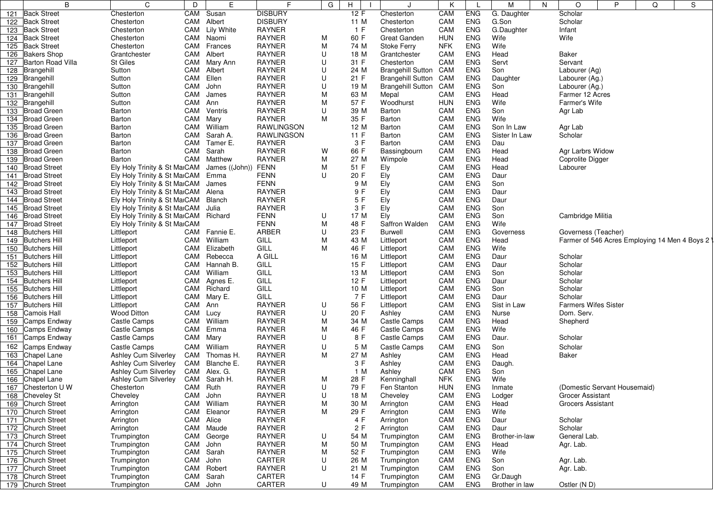|     | B                        | C                            | D        | E.                | F                 | G | н          | J                        | K          |                          | M              | N | $\circ$                      | P | Q | S                                             |
|-----|--------------------------|------------------------------|----------|-------------------|-------------------|---|------------|--------------------------|------------|--------------------------|----------------|---|------------------------------|---|---|-----------------------------------------------|
|     | 121 Back Street          | Chesterton                   | CAM      | Susan             | <b>DISBURY</b>    |   | 12 F       | Chesterton               | CAM        | <b>ENG</b>               | G. Daughter    |   | Scholar                      |   |   |                                               |
|     | 122 Back Street          | Chesterton                   | CAM      | Albert            | <b>DISBURY</b>    |   | 11 M       | Chesterton               | CAM        | <b>ENG</b>               | G.Son          |   | Scholar                      |   |   |                                               |
|     | 123 Back Street          | Chesterton                   | CAM      | <b>Lily White</b> | <b>RAYNER</b>     |   | 1 F        | Chesterton               | CAM        | <b>ENG</b>               | G.Daughter     |   | Infant                       |   |   |                                               |
|     | 124 Back Street          | Chesterton                   |          | CAM Naomi         | <b>RAYNER</b>     | М | 60 F       | <b>Great Ganden</b>      | <b>HUN</b> | <b>ENG</b>               | Wife           |   | Wife                         |   |   |                                               |
|     | 125 Back Street          | Chesterton                   | CAM      | Frances           | <b>RAYNER</b>     | М | 74 M       | Stoke Ferry              | <b>NFK</b> | <b>ENG</b>               | Wife           |   |                              |   |   |                                               |
|     | 126 Bakers Shop          | Grantchester                 | CAM      | Albert            | <b>RAYNER</b>     | U | 18 M       | Grantchester             | CAM        | <b>ENG</b>               | Head           |   | <b>Baker</b>                 |   |   |                                               |
| 127 | <b>Barton Road Villa</b> | <b>St Giles</b>              | CAM      | Mary Ann          | <b>RAYNER</b>     | U | 31 F       | Chesterton               | CAM        | <b>ENG</b>               | Servt          |   | Servant                      |   |   |                                               |
|     | 128 Brangehill           | Sutton                       | CAM      | Albert            | <b>RAYNER</b>     | U | 24 M       | <b>Brangehill Sutton</b> | CAM        | <b>ENG</b>               | Son            |   | Labourer (Ag)                |   |   |                                               |
|     | 129 Brangehill           | Sutton                       | CAM      | Ellen             | RAYNER            | U | 21 F       | <b>Brangehill Sutton</b> | CAM        | <b>ENG</b>               | Daughter       |   | Labourer (Ag.)               |   |   |                                               |
|     | 130 Brangehill           | Sutton                       | CAM      | John              | <b>RAYNER</b>     | U | 19 M       | <b>Brangehill Sutton</b> | CAM        | <b>ENG</b>               | Son            |   | Labourer (Ag.)               |   |   |                                               |
|     | 131 Brangehill           | Sutton                       | CAM      | James             | <b>RAYNER</b>     | M | 63 M       | Mepal                    | CAM        | <b>ENG</b>               | Head           |   | Farmer 12 Acres              |   |   |                                               |
|     | 132 Brangehill           | Sutton                       | CAM      | Ann               | <b>RAYNER</b>     | M | 57 F       | Woodhurst                | <b>HUN</b> | <b>ENG</b>               | Wife           |   | Farmer's Wife                |   |   |                                               |
|     | 133 Broad Green          | Barton                       | CAM      | Ventris           | <b>RAYNER</b>     | U | 39 M       | Barton                   | CAM        | <b>ENG</b>               | Son            |   | Agr Lab                      |   |   |                                               |
|     | 134 Broad Green          | Barton                       | CAM      | Mary              | RAYNER            | M | 35 F       | Barton                   | CAM        | <b>ENG</b>               | Wife           |   |                              |   |   |                                               |
|     | 135 Broad Green          | Barton                       | CAM      | William           | <b>RAWLINGSON</b> |   | 12 M       | Barton                   | CAM        | <b>ENG</b>               | Son In Law     |   | Agr Lab                      |   |   |                                               |
|     | 136 Broad Green          | Barton                       | CAM      | Sarah A.          | <b>RAWLINGSON</b> |   | 11 F       | Barton                   | CAM        | <b>ENG</b>               | Sister In Law  |   | Scholar                      |   |   |                                               |
|     | 137 Broad Green          | Barton                       | CAM      | Tamer E.          | RAYNER            |   | 3 F        | Barton                   | CAM        | <b>ENG</b>               | Dau            |   |                              |   |   |                                               |
|     | 138 Broad Green          | Barton                       | CAM      | Sarah             | <b>RAYNER</b>     | W | 66 F       | Bassingbourn             | CAM        | <b>ENG</b>               | Head           |   | Agr Larbrs Widow             |   |   |                                               |
|     | 139 Broad Green          | Barton                       | CAM      | Matthew           | <b>RAYNER</b>     | M | 27 M       | Wimpole                  | CAM        | <b>ENG</b>               | Head           |   | Coprolite Digger             |   |   |                                               |
|     | 140 Broad Street         | Ely Holy Trinity & St MaiCAM |          | James ((John))    | <b>FENN</b>       | M | 51 F       |                          | CAM        | <b>ENG</b>               | Head           |   | Labourer                     |   |   |                                               |
|     | 141 Broad Street         | Ely Holy Trinity & St MaiCAM |          | Emma              | <b>FENN</b>       | U | 20 F       | Ely<br>Ely               | CAM        | <b>ENG</b>               | Daur           |   |                              |   |   |                                               |
|     | 142 Broad Street         |                              |          |                   | <b>FENN</b>       |   |            |                          |            | <b>ENG</b>               |                |   |                              |   |   |                                               |
|     |                          | Ely Holy Trinity & St MaiCAM |          | James             |                   |   | 9 M        | Ely                      | CAM        |                          | Son            |   |                              |   |   |                                               |
|     | 143 Broad Street         | Ely Holy Trinity & St MaiCAM |          | Alena             | RAYNER            |   | 9 F<br>5 F | Ely                      | CAM        | <b>ENG</b><br><b>ENG</b> | Daur           |   |                              |   |   |                                               |
|     | 144 Broad Street         | Ely Holy Trinity & St MaiCAM |          | Blanch            | <b>RAYNER</b>     |   |            | Ely                      | CAM        |                          | Daur           |   |                              |   |   |                                               |
|     | 145 Broad Street         | Ely Holy Trinity & St MaiCAM |          | Julia             | <b>RAYNER</b>     |   | 3F         | Ely                      | CAM        | <b>ENG</b>               | Son            |   |                              |   |   |                                               |
|     | 146 Broad Street         | Ely Holy Trinity & St MaiCAM |          | Richard           | <b>FENN</b>       | U | 17 M       | Ely                      | CAM        | <b>ENG</b>               | Son            |   | Cambridge Militia            |   |   |                                               |
|     | 147 Broad Street         | Ely Holy Trinity & St MaiCAM |          |                   | <b>FENN</b>       | M | 48 F       | Saffron Walden           | CAM        | <b>ENG</b>               | Wife           |   |                              |   |   |                                               |
|     | 148 Butchers Hill        | Littleport                   |          | CAM Fannie E.     | ARBER             | U | 23 F       | <b>Burwell</b>           | CAM        | <b>ENG</b>               | Governess      |   | Governess (Teacher)          |   |   |                                               |
|     | 149 Butchers Hill        | Littleport                   | CAM      | William           | GILL              | M | 43 M       | Littleport               | CAM        | <b>ENG</b>               | Head           |   |                              |   |   | Farmer of 546 Acres Employing 14 Men 4 Boys 2 |
| 150 | <b>Butchers Hill</b>     | Littleport                   | CAM      | Elizabeth         | GILL              | М | 46 F       | Littleport               | CAM        | <b>ENG</b>               | Wife           |   |                              |   |   |                                               |
|     | 151 Butchers Hill        | Littleport                   | CAM      | Rebecca           | A GILL            |   | 16 M       | Littleport               | CAM        | <b>ENG</b>               | Daur           |   | Scholar                      |   |   |                                               |
|     | 152 Butchers Hill        | Littleport                   | CAM      | Hannah B.         | GILL              |   | 15 F       | Littleport               | CAM        | <b>ENG</b>               | Daur           |   | Scholar                      |   |   |                                               |
|     | 153 Butchers Hill        | Littleport                   | CAM      | William           | GILL              |   | 13 M       | Littleport               | CAM        | <b>ENG</b>               | Son            |   | Scholar                      |   |   |                                               |
|     | 154 Butchers Hill        | Littleport                   | CAM      | Agnes E.          | GILL              |   | 12 F       | Littleport               | CAM        | <b>ENG</b>               | Daur           |   | Scholar                      |   |   |                                               |
|     | 155 Butchers Hill        | Littleport                   | CAM      | Richard           | GILL              |   | 10 M       | Littleport               | CAM        | <b>ENG</b>               | Son            |   | Scholar                      |   |   |                                               |
|     | 156 Butchers Hill        | Littleport                   | CAM      | Mary E.           | GILL              |   | 7 F        | Littleport               | CAM        | <b>ENG</b>               | Daur           |   | Scholar                      |   |   |                                               |
|     | 157 Butchers Hill        | Littleport                   | CAM      | Ann               | <b>RAYNER</b>     | U | 56 F       | Littleport               | CAM        | <b>ENG</b>               | Sist in Law    |   | <b>Farmers Wifes Sister</b>  |   |   |                                               |
| 158 | Camois Hall              | Wood Ditton                  | CAM      | Lucy              | <b>RAYNER</b>     | U | 20 F       | Ashley                   | CAM        | <b>ENG</b>               | Nurse          |   | Dom. Serv.                   |   |   |                                               |
| 159 | Camps Endway             | Castle Camps                 | CAM      | William           | <b>RAYNER</b>     | M | 34 M       | Castle Camps             | CAM        | <b>ENG</b>               | Head           |   | Shepherd                     |   |   |                                               |
|     | 160 Camps Endway         | Castle Camps                 | CAM      | Emma              | <b>RAYNER</b>     | M | 46 F       | Castle Camps             | CAM        | <b>ENG</b>               | Wife           |   |                              |   |   |                                               |
|     | 161 Camps Endway         | Castle Camps                 | CAM      | Mary              | <b>RAYNER</b>     | U | 8 F        | <b>Castle Camps</b>      | CAM        | <b>ENG</b>               | Daur.          |   | Scholar                      |   |   |                                               |
| 162 | Camps Endway             | Castle Camps                 | CAM      | William           | <b>RAYNER</b>     | U | 5 M        | Castle Camps             | CAM        | <b>ENG</b>               | Son            |   | Scholar                      |   |   |                                               |
| 163 | Chapel Lane              | Ashley Cum Silverley         |          | CAM Thomas H.     | RAYNER            | М | 27 M       | Ashley                   | CAM        | <b>ENG</b>               | Head           |   | Baker                        |   |   |                                               |
|     | 164 Chapel Lane          | Ashley Cum Silverley         | CAM      | Blanche E.        | <b>RAYNER</b>     |   | 3F         | Ashley                   | CAM        | <b>ENG</b>               | Daugh.         |   |                              |   |   |                                               |
| 165 | Chapel Lane              | Ashley Cum Silverley         | CAM      | Alex. G.          | <b>RAYNER</b>     |   | 1 M        | Ashley                   | CAM        | <b>ENG</b>               | Son            |   |                              |   |   |                                               |
|     | 166 Chapel Lane          | Ashley Cum Silverley         | CAM      | Sarah H.          | <b>RAYNER</b>     | Μ | 28 F       | Kenninghall              | <b>NFK</b> | <b>ENG</b>               | Wife           |   |                              |   |   |                                               |
|     | 167 Chesterton U W       | Chesterton                   | CAM Ruth |                   | <b>RAYNER</b>     | U | 79 F       | Fen Stanton              | <b>HUN</b> | <b>ENG</b>               | Inmate         |   | (Domestic Servant Housemaid) |   |   |                                               |
|     | 168 Cheveley St          | Cheveley                     | CAM      | John              | <b>RAYNER</b>     | U | 18 M       | Cheveley                 | CAM        | <b>ENG</b>               | Lodger         |   | <b>Grocer Assistant</b>      |   |   |                                               |
|     | 169 Church Street        | Arrington                    | CAM      | William           | <b>RAYNER</b>     | М | 30 M       | Arrington                | CAM        | <b>ENG</b>               | Head           |   | <b>Grocers Assistant</b>     |   |   |                                               |
|     | 170 Church Street        | Arrington                    | CAM      | Eleanor           | <b>RAYNER</b>     | М | 29 F       | Arrington                | CAM        | ENG                      | Wife           |   |                              |   |   |                                               |
|     | 171 Church Street        | Arrington                    | CAM      | Alice             | <b>RAYNER</b>     |   | 4 F        | Arrington                | CAM        | <b>ENG</b>               | Daur           |   | Scholar                      |   |   |                                               |
|     | 172 Church Street        | Arrington                    | CAM      | Maude             | <b>RAYNER</b>     |   | 2 F        | Arrington                | CAM        | <b>ENG</b>               | Daur           |   | Scholar                      |   |   |                                               |
|     | 173 Church Street        | Trumpington                  | CAM      | George            | <b>RAYNER</b>     | U | 54 M       | Trumpington              | CAM        | <b>ENG</b>               | Brother-in-law |   | General Lab.                 |   |   |                                               |
|     | 174 Church Street        | Trumpington                  | CAM      | John              | RAYNER            | M | 50 M       | Trumpington              | CAM        | <b>ENG</b>               | Head           |   | Agr. Lab.                    |   |   |                                               |
|     | 175 Church Street        | Trumpington                  | CAM      | Sarah             | <b>RAYNER</b>     | М | 52 F       | Trumpington              | CAM        | <b>ENG</b>               | Wife           |   |                              |   |   |                                               |
|     | 176 Church Street        | Trumpington                  | CAM      | John              | CARTER            | U | 26 M       | Trumpington              | CAM        | <b>ENG</b>               | Son            |   | Agr. Lab.                    |   |   |                                               |
|     | 177 Church Street        | Trumpington                  | CAM      | Robert            | <b>RAYNER</b>     | U | 21 M       | Trumpington              | CAM        | <b>ENG</b>               | Son            |   | Agr. Lab.                    |   |   |                                               |
|     | 178 Church Street        | Trumpington                  | CAM      | Sarah             | CARTER            |   | 14 F       | Trumpington              | CAM        | <b>ENG</b>               | Gr.Daugh       |   |                              |   |   |                                               |
|     | 179 Church Street        | Trumpington                  |          | CAM John          | CARTER            | U | 49 M       | Trumpington              | CAM        | ENG                      | Brother in law |   | Ostler (N D)                 |   |   |                                               |
|     |                          |                              |          |                   |                   |   |            |                          |            |                          |                |   |                              |   |   |                                               |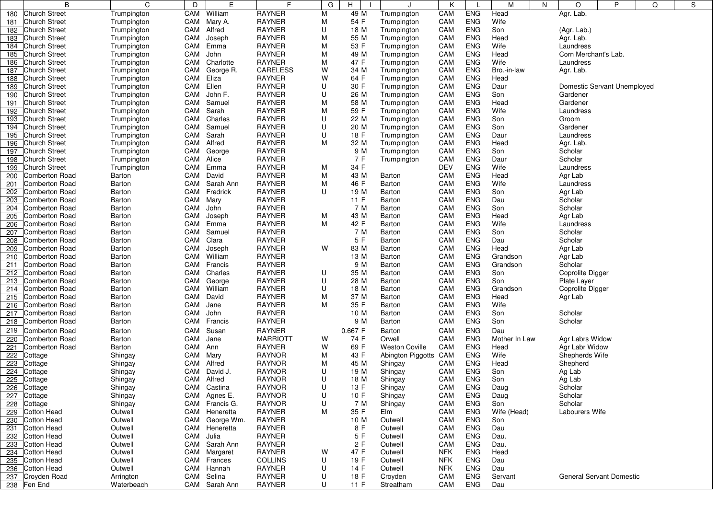|            | B                                         | C                          | D          | E                  | F                              | G      | н            | J                          | K          |                          | M             | N | O                    | P                           | Q | S |
|------------|-------------------------------------------|----------------------------|------------|--------------------|--------------------------------|--------|--------------|----------------------------|------------|--------------------------|---------------|---|----------------------|-----------------------------|---|---|
| 180        | <b>Church Street</b>                      | Trumpington                | CAM        | William            | <b>RAYNER</b>                  | М      | 49 M         | Trumpington                | CAM        | <b>ENG</b>               | Head          |   | Agr. Lab.            |                             |   |   |
| 181        | <b>Church Street</b>                      | Trumpington                | CAM        | Mary A.            | <b>RAYNER</b>                  | м      | 54 F         | Trumpington                | CAM        | <b>ENG</b>               | Wife          |   |                      |                             |   |   |
| 182        | <b>Church Street</b>                      | Trumpington                | CAM        | Alfred             | <b>RAYNER</b>                  | U      | 18 M         | Trumpington                | CAM        | <b>ENG</b>               | Son           |   | (Agr. Lab.)          |                             |   |   |
| 183        | <b>Church Street</b>                      | Trumpington                | CAM        | Joseph             | <b>RAYNER</b>                  | M      | 55 M         | Trumpington                | CAM        | <b>ENG</b>               | Head          |   | Agr. Lab.            |                             |   |   |
| 184        | <b>Church Street</b>                      | Trumpington                | CAM        | Emma               | <b>RAYNER</b>                  | M      | 53 F         | Trumpington                | CAM        | <b>ENG</b>               | Wife          |   | Laundress            |                             |   |   |
|            | 185 Church Street                         | Trumpington                | CAM        | John               | <b>RAYNER</b>                  | M      | 49 M         | Trumpington                | CAM        | <b>ENG</b>               | Head          |   | Corn Merchant's Lab. |                             |   |   |
| 186        | <b>Church Street</b>                      | Trumpington                | CAM        | Charlotte          | <b>RAYNER</b>                  | M      | 47 F         | Trumpington                | CAM        | <b>ENG</b>               | Wife          |   | Laundress            |                             |   |   |
| 187        | <b>Church Street</b>                      | Trumpington                | CAM        | George R.          | <b>CARELESS</b>                | W      | 34 M         | Trumpington                | CAM        | <b>ENG</b>               | Bro.-in-law   |   | Agr. Lab.            |                             |   |   |
| 188        | <b>Church Street</b>                      | Trumpington                | CAM        | Eliza              | <b>RAYNER</b>                  | W      | 64 F         | Trumpington                | CAM        | <b>ENG</b>               | Head          |   |                      |                             |   |   |
| 189        | <b>Church Street</b>                      | Trumpington                | CAM        | Ellen              | <b>RAYNER</b>                  | U      | 30 F         | Trumpington                | CAM        | <b>ENG</b>               | Daur          |   |                      | Domestic Servant Unemployed |   |   |
| 190        | Church Street                             | Trumpington                | CAM        | John F.            | <b>RAYNER</b>                  | U      | 26 M         | Trumpington                | CAM        | <b>ENG</b>               | Son           |   | Gardener             |                             |   |   |
| 191        | <b>Church Street</b>                      | Trumpington                | CAM        | Samuel             | <b>RAYNER</b><br><b>RAYNER</b> | M      | 58 M         | Trumpington                | CAM        | <b>ENG</b><br><b>ENG</b> | Head<br>Wife  |   | Gardener             |                             |   |   |
|            | 192 Church Street<br><b>Church Street</b> | Trumpington                | CAM<br>CAM | Sarah<br>Charles   | <b>RAYNER</b>                  | M<br>U | 59 F<br>22 M | Trumpington                | CAM<br>CAM | <b>ENG</b>               | Son           |   | Laundress<br>Groom   |                             |   |   |
| 193<br>194 | <b>Church Street</b>                      | Trumpington                | CAM        | Samuel             | <b>RAYNER</b>                  | U      | 20 M         | Trumpington                | CAM        | <b>ENG</b>               | Son           |   | Gardener             |                             |   |   |
| 195        | <b>Church Street</b>                      | Trumpington<br>Trumpington | CAM        | Sarah              | <b>RAYNER</b>                  | U      | 18 F         | Trumpington<br>Trumpington | CAM        | <b>ENG</b>               | Daur          |   | Laundress            |                             |   |   |
| 196        | <b>Church Street</b>                      | Trumpington                | CAM        | Alfred             | <b>RAYNER</b>                  | M      | 32 M         | Trumpington                | CAM        | <b>ENG</b>               | Head          |   | Agr. Lab.            |                             |   |   |
| 197        | <b>Church Street</b>                      | Trumpington                | CAM        | George             | <b>RAYNER</b>                  |        | 9 M          | Trumpington                | CAM        | <b>ENG</b>               | Son           |   | Scholar              |                             |   |   |
| 198        | <b>Church Street</b>                      | Trumpington                | CAM        | Alice              | <b>RAYNER</b>                  |        | 7 F          | Trumpington                | CAM        | <b>ENG</b>               | Daur          |   | Scholar              |                             |   |   |
| 199        | <b>Church Street</b>                      | Trumpington                | CAM        | Emma               | <b>RAYNER</b>                  | M      | 34 F         |                            | DEV        | <b>ENG</b>               | Wife          |   | Laundress            |                             |   |   |
| 200        | Comberton Road                            | Barton                     | CAM        | David              | <b>RAYNER</b>                  | м      | 43 M         | Barton                     | CAM        | <b>ENG</b>               | Head          |   | Agr Lab              |                             |   |   |
| 201        | <b>Comberton Road</b>                     | Barton                     | CAM        | Sarah Ann          | <b>RAYNER</b>                  | M      | 46 F         | Barton                     | CAM        | <b>ENG</b>               | Wife          |   | Laundress            |                             |   |   |
| 202        | Comberton Road                            | Barton                     | CAM        | Fredrick           | <b>RAYNER</b>                  | U      | 19 M         | Barton                     | CAM        | <b>ENG</b>               | Son           |   | Agr Lab              |                             |   |   |
| 203        | Comberton Road                            | Barton                     | CAM        | Mary               | <b>RAYNER</b>                  |        | 11 F         | Barton                     | CAM        | <b>ENG</b>               | Dau           |   | Scholar              |                             |   |   |
| 204        | <b>Comberton Road</b>                     | Barton                     | CAM        | John               | <b>RAYNER</b>                  |        | 7 M          | Barton                     | CAM        | <b>ENG</b>               | Son           |   | Scholar              |                             |   |   |
| 205        | Comberton Road                            | Barton                     | CAM        | Joseph             | <b>RAYNER</b>                  | M      | 43 M         | Barton                     | CAM        | <b>ENG</b>               | Head          |   | Agr Lab              |                             |   |   |
| 206        | Comberton Road                            | Barton                     | CAM        | Emma               | <b>RAYNER</b>                  | м      | 42 F         | Barton                     | CAM        | <b>ENG</b>               | Wife          |   | Laundress            |                             |   |   |
| 207        | <b>Comberton Road</b>                     | Barton                     | CAM        | Samuel             | <b>RAYNER</b>                  |        | 7 M          | Barton                     | CAM        | <b>ENG</b>               | Son           |   | Scholar              |                             |   |   |
| 208        | Comberton Road                            | Barton                     | CAM        | Clara              | <b>RAYNER</b>                  |        | 5F           | Barton                     | CAM        | <b>ENG</b>               | Dau           |   | Scholar              |                             |   |   |
| 209        | Comberton Road                            | Barton                     | CAM        | Joseph             | <b>RAYNER</b>                  | W      | 83 M         | Barton                     | CAM        | <b>ENG</b>               | Head          |   | Agr Lab              |                             |   |   |
| 210        | Comberton Road                            | Barton                     | CAM        | William            | <b>RAYNER</b>                  |        | 13 M         | Barton                     | CAM        | <b>ENG</b>               | Grandson      |   | Agr Lab              |                             |   |   |
| 211        | <b>Comberton Road</b>                     | Barton                     | CAM        | Francis            | <b>RAYNER</b>                  |        | 9 M          | Barton                     | CAM        | <b>ENG</b>               | Grandson      |   | Scholar              |                             |   |   |
| 212        | <b>Comberton Road</b>                     | Barton                     | CAM        | Charles            | <b>RAYNER</b>                  | U      | 35 M         | Barton                     | CAM        | <b>ENG</b>               | Son           |   | Coprolite Digger     |                             |   |   |
| 213        | Comberton Road                            | Barton                     | CAM        | George             | <b>RAYNER</b>                  | U      | 28 M         | Barton                     | CAM        | <b>ENG</b>               | Son           |   | Plate Layer          |                             |   |   |
| 214        | Comberton Road                            | Barton                     | CAM        | William            | <b>RAYNER</b>                  | U      | 18 M         | Barton                     | CAM        | <b>ENG</b>               | Grandson      |   | Coprolite Digger     |                             |   |   |
| 215        | Comberton Road                            | Barton                     | CAM        | David              | <b>RAYNER</b>                  | M      | 37 M         | Barton                     | CAM        | <b>ENG</b>               | Head          |   | Agr Lab              |                             |   |   |
| 216        | <b>Comberton Road</b>                     | Barton                     | CAM        | Jane               | <b>RAYNER</b>                  | M      | 35 F         | Barton                     | CAM        | <b>ENG</b>               | Wife          |   |                      |                             |   |   |
| 217        | <b>Comberton Road</b>                     | Barton                     | CAM        | John               | <b>RAYNER</b>                  |        | 10 M         | Barton                     | CAM        | <b>ENG</b>               | Son           |   | Scholar              |                             |   |   |
| 218        | <b>Comberton Road</b>                     | Barton                     | CAM        | Francis            | <b>RAYNER</b>                  |        | 9 M          | Barton                     | CAM        | <b>ENG</b>               | Son           |   | Scholar              |                             |   |   |
| 219        | <b>Comberton Road</b>                     | Barton                     | CAM        | Susan              | <b>RAYNER</b>                  |        | 0.667 F      | Barton                     | CAM        | <b>ENG</b>               | Dau           |   |                      |                             |   |   |
| 220        | Comberton Road                            | Barton                     | CAM        | Jane               | <b>MARRIOTT</b>                | W      | 74 F         | Orwell                     | CAM        | <b>ENG</b>               | Mother In Law |   | Agr Labrs Widow      |                             |   |   |
| 221        | Comberton Road                            | Barton                     | CAM        | Ann                | <b>RAYNER</b>                  | W      | 69 F         | <b>Weston Coville</b>      | CAM        | <b>ENG</b>               | Head          |   | Agr Labr Widow       |                             |   |   |
| 222        | Cottage                                   | Shingay                    | CAM        | Mary               | <b>RAYNOR</b><br><b>RAYNOR</b> | M      | 43 F         | Abington Piggotts          | CAM        | <b>ENG</b><br><b>ENG</b> | Wife          |   | Shepherds Wife       |                             |   |   |
| 223        | Cottage                                   | Shingay                    | CAM        | Alfred             |                                | M      | 45 M         | Shingay                    | CAM        |                          | Head          |   | Shepherd             |                             |   |   |
| 224        | Cottage                                   | Shingay                    | CAM<br>CAM | David J.<br>Alfred | <b>RAYNOR</b><br><b>RAYNOR</b> | U<br>U | 19 M<br>18 M | Shingay                    | CAM<br>CAM | <b>ENG</b><br><b>ENG</b> | Son<br>Son    |   | Ag Lab               |                             |   |   |
| 225        | Cottage<br>Cottage                        | Shingay                    |            | CAM Castina        | <b>RAYNOR</b>                  | U      | 13 F         | Shingay                    | CAM        | ENG                      | Daug          |   | Ag Lab<br>Scholar    |                             |   |   |
| 226<br>227 | Cottage                                   | Shingay<br>Shingay         |            | CAM Agnes E.       | <b>RAYNOR</b>                  | U      | 10 F         | Shingay<br>Shingay         | CAM        | <b>ENG</b>               | Daug          |   | Scholar              |                             |   |   |
| 228        | Cottage                                   | Shingay                    |            | CAM Francis G.     | <b>RAYNOR</b>                  | U      | 7 M          | Shingay                    | CAM        | <b>ENG</b>               | Son           |   | Scholar              |                             |   |   |
| 229        | <b>Cotton Head</b>                        | Outwell                    |            | CAM Heneretta      | <b>RAYNER</b>                  | M      | 35 F         | Elm                        | CAM        | <b>ENG</b>               | Wife (Head)   |   | Labourers Wife       |                             |   |   |
| 230        | <b>Cotton Head</b>                        | Outwell                    | CAM        | George Wm.         | <b>RAYNER</b>                  |        | 10 M         | Outwell                    | CAM        | <b>ENG</b>               | Son           |   |                      |                             |   |   |
| 231        | Cotton Head                               | Outwell                    |            | CAM Heneretta      | <b>RAYNER</b>                  |        | 8 F          | Outwell                    | CAM        | <b>ENG</b>               | Dau           |   |                      |                             |   |   |
| 232        | <b>Cotton Head</b>                        | Outwell                    | CAM        | Julia              | <b>RAYNER</b>                  |        | 5 F          | Outwell                    | CAM        | <b>ENG</b>               | Dau.          |   |                      |                             |   |   |
| 233        | Cotton Head                               | Outwell                    |            | CAM Sarah Ann      | <b>RAYNER</b>                  |        | 2 F          | Outwell                    | CAM        | <b>ENG</b>               | Dau.          |   |                      |                             |   |   |
| 234        | <b>Cotton Head</b>                        | Outwell                    | CAM        | Margaret           | <b>RAYNER</b>                  | W      | 47 F         | Outwell                    | <b>NFK</b> | <b>ENG</b>               | Head          |   |                      |                             |   |   |
| 235        | <b>Cotton Head</b>                        | Outwell                    | CAM        | Frances            | <b>COLLINS</b>                 | U      | 19 F         | Outwell                    | <b>NFK</b> | <b>ENG</b>               | Dau           |   |                      |                             |   |   |
| 236        | <b>Cotton Head</b>                        | Outwell                    | CAM        | Hannah             | RAYNER                         | U      | 14 F         | Outwell                    | <b>NFK</b> | <b>ENG</b>               | Dau           |   |                      |                             |   |   |
|            | 237 Croyden Road                          | Arrington                  | CAM        | Selina             | <b>RAYNER</b>                  | U      | 18 F         | Croyden                    | CAM        | <b>ENG</b>               | Servant       |   |                      | General Servant Domestic    |   |   |
|            | 238 Fen End                               | Waterbeach                 |            | CAM Sarah Ann      | RAYNER                         | U      | 11F          | Streatham                  | CAM        | ENG                      | Dau           |   |                      |                             |   |   |
|            |                                           |                            |            |                    |                                |        |              |                            |            |                          |               |   |                      |                             |   |   |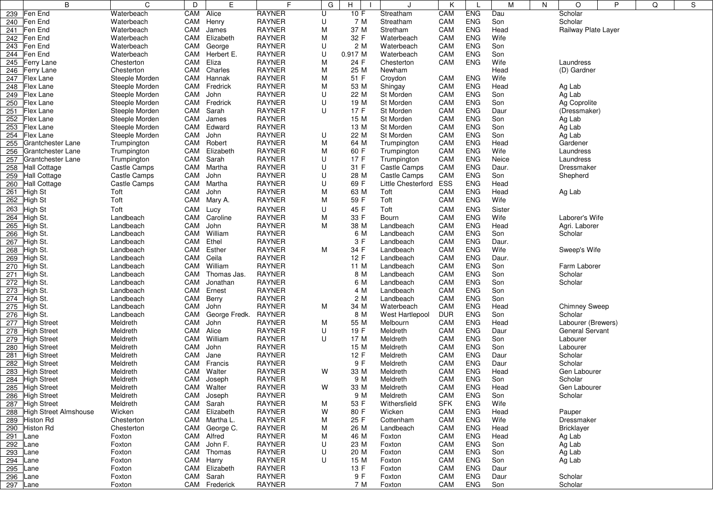|          | B                         | C              | D        | E             | F             | G | н       | J                   | Κ          |            | M      | N | O                    | P | Q | S |
|----------|---------------------------|----------------|----------|---------------|---------------|---|---------|---------------------|------------|------------|--------|---|----------------------|---|---|---|
| 239      | Fen End                   | Waterbeach     | CAM      | Alice         | <b>RAYNER</b> | U | 10 F    | Streatham           | CAM        | <b>ENG</b> | Dau    |   | Scholar              |   |   |   |
| 240      | Fen End                   | Waterbeach     | CAM      | Henry         | <b>RAYNER</b> | U | 7 M     | Streatham           | CAM        | <b>ENG</b> | Son    |   | Scholar              |   |   |   |
| 241      | Fen End                   | Waterbeach     | CAM      | James         | <b>RAYNER</b> | M | 37 M    | Stretham            | CAM        | <b>ENG</b> | Head   |   | Railway Plate Layer  |   |   |   |
| 242      | Fen End                   | Waterbeach     | CAM      | Elizabeth     | <b>RAYNER</b> | M | 32 F    | Waterbeach          | CAM        | <b>ENG</b> | Wife   |   |                      |   |   |   |
| 243      | Fen End                   | Waterbeach     | CAM      | George        | <b>RAYNER</b> | U | 2 M     | Waterbeach          | CAM        | <b>ENG</b> | Son    |   |                      |   |   |   |
| 244      | Fen End                   | Waterbeach     | CAM      | Herbert E.    | <b>RAYNER</b> | U | 0.917 M | Waterbeach          | CAM        | <b>ENG</b> | Son    |   |                      |   |   |   |
| 245      | <b>Ferry Lane</b>         | Chesterton     | CAM      | Eliza         | <b>RAYNER</b> | М | 24 F    | Chesterton          | CAM        | <b>ENG</b> | Wife   |   | Laundress            |   |   |   |
| 246      | <b>Ferry Lane</b>         | Chesterton     | CAM      | Charles       | <b>RAYNER</b> | M | 25 M    | Newham              |            |            | Head   |   | (D) Gardner          |   |   |   |
|          | 247 Flex Lane             | Steeple Morden | CAM      | Hannak        | <b>RAYNER</b> | М | 51 F    | Croydon             | CAM        | <b>ENG</b> | Wife   |   |                      |   |   |   |
| 248      | <b>Flex Lane</b>          | Steeple Morden | CAM      | Fredrick      | <b>RAYNER</b> | М | 53 M    | Shingay             | CAM        | <b>ENG</b> | Head   |   | Ag Lab               |   |   |   |
| 249      | <b>Flex Lane</b>          | Steeple Morden | CAM John |               | <b>RAYNER</b> | U | 22 M    | St Morden           | CAM        | <b>ENG</b> | Son    |   | Ag Lab               |   |   |   |
| 250      | <b>Flex Lane</b>          | Steeple Morden | CAM      | Fredrick      | <b>RAYNER</b> | U | 19 M    | St Morden           | CAM        | <b>ENG</b> | Son    |   | Ag Coprolite         |   |   |   |
| 251      | <b>Flex Lane</b>          | Steeple Morden | CAM      | Sarah         | <b>RAYNER</b> | U | 17 F    | St Morden           | CAM        | <b>ENG</b> | Daur   |   | (Dressmaker)         |   |   |   |
| 252      | Flex Lane                 | Steeple Morden | CAM      | James         | <b>RAYNER</b> |   | 15 M    | St Morden           | CAM        | <b>ENG</b> | Son    |   | Ag Lab               |   |   |   |
| 253      | <b>Flex Lane</b>          | Steeple Morden | CAM      | Edward        | <b>RAYNER</b> |   | 13 M    | St Morden           | CAM        | <b>ENG</b> | Son    |   | Ag Lab               |   |   |   |
| 254      | <b>Flex Lane</b>          | Steeple Morden | CAM      | John          | <b>RAYNER</b> | U | 22 M    | St Morden           | CAM        | <b>ENG</b> | Son    |   | Ag Lab               |   |   |   |
| 255      | <b>Grantchester Lane</b>  | Trumpington    | CAM      | Robert        | <b>RAYNER</b> | M | 64 M    | Trumpington         | CAM        | <b>ENG</b> | Head   |   | Gardener             |   |   |   |
| 256      | Grantchester Lane         | Trumpington    | CAM      | Elizabeth     | <b>RAYNER</b> | М | 60 F    | Trumpington         | CAM        | <b>ENG</b> | Wife   |   | Laundress            |   |   |   |
| 257      | Grantchester Lane         | Trumpington    | CAM      | Sarah         | <b>RAYNER</b> | U | 17 F    | Trumpington         | CAM        | <b>ENG</b> | Neice  |   | Laundress            |   |   |   |
| 258      | Hall Cottage              | Castle Camps   | CAM      | Martha        | <b>RAYNER</b> | U | 31 F    | <b>Castle Camps</b> | CAM        | <b>ENG</b> | Daur.  |   | Dressmaker           |   |   |   |
| 259      | <b>Hall Cottage</b>       | Castle Camps   | CAM      | John          | <b>RAYNER</b> | U | 28 M    | Castle Camps        | CAM        | <b>ENG</b> | Son    |   | Shepherd             |   |   |   |
| 260      | Hall Cottage              | Castle Camps   | CAM      | Martha        | <b>RAYNER</b> | U | 69 F    | Little Chesterford  | ESS        | <b>ENG</b> | Head   |   |                      |   |   |   |
| 261      | High St                   | Toft           | CAM      | John          | <b>RAYNER</b> | М | 63 M    | Toft                | CAM        | <b>ENG</b> | Head   |   | Ag Lab               |   |   |   |
| 262      | High St                   | Toft           | CAM      | Mary A.       | <b>RAYNER</b> | М | 59 F    | Toft                | CAM        | <b>ENG</b> | Wife   |   |                      |   |   |   |
| 263      |                           | Toft           | CAM Lucy |               | <b>RAYNER</b> |   |         |                     | CAM        | <b>ENG</b> |        |   |                      |   |   |   |
|          | High St                   |                |          |               |               | U | 45 F    | Toft                |            |            | Sister |   |                      |   |   |   |
| 264      | High St.                  | Landbeach      |          | CAM Caroline  | <b>RAYNER</b> | M | 33 F    | Bourn               | CAM        | <b>ENG</b> | Wife   |   | Laborer's Wife       |   |   |   |
| 265      | High St.                  | Landbeach      | CAM      | John          | <b>RAYNER</b> | M | 38 M    | Landbeach           | CAM        | <b>ENG</b> | Head   |   | Agri. Laborer        |   |   |   |
| 266      | High St.                  | Landbeach      | CAM      | William       | <b>RAYNER</b> |   | 6 M     | Landbeach           | CAM        | <b>ENG</b> | Son    |   | Scholar              |   |   |   |
| 267      | High St.                  | Landbeach      | CAM      | Ethel         | <b>RAYNER</b> |   | 3 F     | Landbeach           | CAM        | <b>ENG</b> | Daur.  |   |                      |   |   |   |
| 268      | High St.                  | Landbeach      | CAM      | Esther        | <b>RAYNER</b> | M | 34 F    | Landbeach           | CAM        | <b>ENG</b> | Wife   |   | Sweep's Wife         |   |   |   |
| 269      | High St.                  | Landbeach      |          | CAM Ceila     | <b>RAYNER</b> |   | 12 F    | Landbeach           | CAM        | <b>ENG</b> | Daur.  |   |                      |   |   |   |
| 270      | High St.                  | Landbeach      | CAM      | William       | <b>RAYNER</b> |   | 11 M    | Landbeach           | CAM        | <b>ENG</b> | Son    |   | Farm Laborer         |   |   |   |
| 271      | High St.                  | Landbeach      | CAM      | Thomas Jas.   | <b>RAYNER</b> |   | 8 M     | Landbeach           | CAM        | <b>ENG</b> | Son    |   | Scholar              |   |   |   |
| 272      | High St.                  | Landbeach      | CAM      | Jonathan      | <b>RAYNER</b> |   | 6 M     | Landbeach           | CAM        | <b>ENG</b> | Son    |   | Scholar              |   |   |   |
| 273      | High St.                  | Landbeach      | CAM      | Ernest        | <b>RAYNER</b> |   | 4 M     | Landbeach           | CAM        | <b>ENG</b> | Son    |   |                      |   |   |   |
| 274      | High St.                  | Landbeach      | CAM      | Berry         | <b>RAYNER</b> |   | 2 M     | Landbeach           | CAM        | <b>ENG</b> | Son    |   |                      |   |   |   |
| 275      | High St.                  | Landbeach      | CAM      | John          | <b>RAYNER</b> | м | 34 M    | Waterbeach          | CAM        | <b>ENG</b> | Head   |   | <b>Chimney Sweep</b> |   |   |   |
|          | 276 High St.              | Landbeach      | CAM      | George Fredk. | <b>RAYNER</b> |   | 8 M     | West Hartlepool     | <b>DUR</b> | <b>ENG</b> | Son    |   | Scholar              |   |   |   |
| 277      | <b>High Street</b>        | Meldreth       | CAM      | John          | <b>RAYNER</b> | M | 55 M    | Melbourn            | CAM        | <b>ENG</b> | Head   |   | Labourer (Brewers)   |   |   |   |
| 278      | <b>High Street</b>        | Meldreth       | CAM      | Alice         | <b>RAYNER</b> | U | 19 F    | Meldreth            | CAM        | <b>ENG</b> | Daur   |   | General Servant      |   |   |   |
| 279      | <b>High Street</b>        | Meldreth       | CAM      | William       | <b>RAYNER</b> | U | 17 M    | Meldreth            | CAM        | <b>ENG</b> | Son    |   | Labourer             |   |   |   |
| 280      | <b>High Street</b>        | Meldreth       | CAM      | John          | <b>RAYNER</b> |   | 15 M    | Meldreth            | CAM        | <b>ENG</b> | Son    |   | Labourer             |   |   |   |
| 281      | <b>High Street</b>        | Meldreth       | CAM      | Jane          | <b>RAYNER</b> |   | 12 F    | Meldreth            | CAM        | <b>ENG</b> | Daur   |   | Scholar              |   |   |   |
| 282      | <b>High Street</b>        | Meldreth       | CAM      | Francis       | <b>RAYNER</b> |   | 9 F     | Meldreth            | CAM        | <b>ENG</b> | Daur   |   | Scholar              |   |   |   |
|          | 283 High Street           | Meldreth       | CAM      | Walter        | <b>RAYNER</b> | W | 33 M    | Meldreth            | CAM        | <b>ENG</b> | Head   |   | Gen Labourer         |   |   |   |
|          | 284 High Street           | Meldreth       | CAM      | Joseph        | <b>RAYNER</b> |   | 9 M     | Meldreth            | CAM        | <b>ENG</b> | Son    |   | Scholar              |   |   |   |
|          | 285 High Street           | Meldreth       |          | CAM Walter    | <b>RAYNER</b> | W | 33 M    | Meldreth            | CAM        | <b>ENG</b> | Head   |   | Gen Labourer         |   |   |   |
|          | 286 High Street           | Meldreth       | CAM      | Joseph        | RAYNER        |   | 9 M     | Meldreth            | CAM        | <b>ENG</b> | Son    |   | Scholar              |   |   |   |
|          | 287 High Street           | Meldreth       |          | CAM Sarah     | RAYNER        | M | 53 F    | Withersfield        | <b>SFK</b> | <b>ENG</b> | Wife   |   |                      |   |   |   |
|          | 288 High Street Almshouse | Wicken         |          | CAM Elizabeth | RAYNER        | W | 80 F    | Wicken              | CAM        | <b>ENG</b> | Head   |   | Pauper               |   |   |   |
|          | 289 Histon Rd             | Chesterton     |          | CAM Martha L. | <b>RAYNER</b> | М | 25 F    | Cottenham           | CAM        | <b>ENG</b> | Wife   |   | Dressmaker           |   |   |   |
| 290      | <b>Histon Rd</b>          | Chesterton     |          | CAM George C. | <b>RAYNER</b> | М | 26 M    | Landbeach           | CAM        | <b>ENG</b> | Head   |   | <b>Bricklayer</b>    |   |   |   |
| 291      | Lane                      | Foxton         |          | CAM Alfred    | <b>RAYNER</b> | м | 46 M    | Foxton              | CAM        | <b>ENG</b> | Head   |   | Ag Lab               |   |   |   |
| 292      | ane.                      | Foxton         | CAM      | John F.       | <b>RAYNER</b> | U | 23 M    | Foxton              | CAM        | ENG        | Son    |   | Ag Lab               |   |   |   |
| 293 Lane |                           | Foxton         |          | CAM Thomas    | RAYNER        | U | 20 M    | Foxton              | CAM        | <b>ENG</b> | Son    |   | Ag Lab               |   |   |   |
| 294      | _ane                      | Foxton         |          | CAM Harry     | RAYNER        | U | 15 M    | Foxton              | CAM        | <b>ENG</b> | Son    |   | Ag Lab               |   |   |   |
| 295      | ane.                      | Foxton         |          | CAM Elizabeth | RAYNER        |   | 13 F    | Foxton              | CAM        | <b>ENG</b> | Daur   |   |                      |   |   |   |
| 296 Lane |                           | Foxton         |          | CAM Sarah     | <b>RAYNER</b> |   | 9 F     | Foxton              | CAM        | <b>ENG</b> | Daur   |   | Scholar              |   |   |   |
| 297 Lane |                           | Foxton         |          | CAM Frederick | RAYNER        |   | 7 M     | Foxton              | CAM        | ENG        | Son    |   | Scholar              |   |   |   |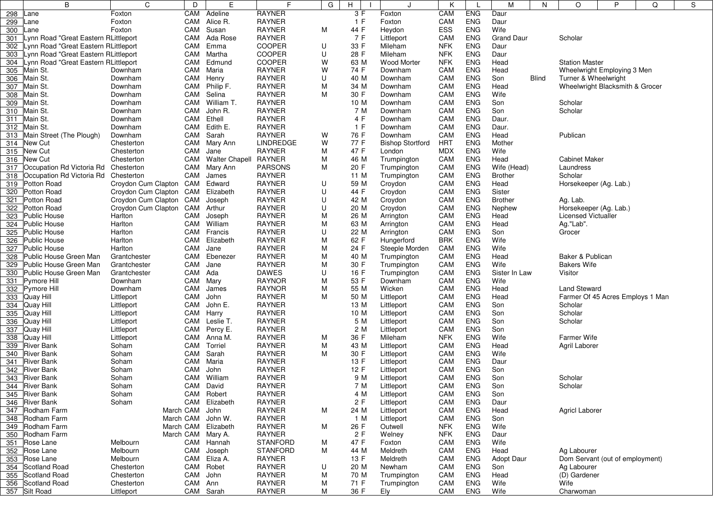|     | B                                    | C                   | D              | E                           | F                       | G      | н           | $\cdot$                  | K                 |                   | M                 | N            | $\circ$                    | P                                | Q | S |  |
|-----|--------------------------------------|---------------------|----------------|-----------------------------|-------------------------|--------|-------------|--------------------------|-------------------|-------------------|-------------------|--------------|----------------------------|----------------------------------|---|---|--|
| 298 | Lane                                 | Foxton              | CAM            | Adeline                     | <b>RAYNER</b>           |        | 3F          | Foxton                   | CAM               | <b>ENG</b>        | Daur              |              |                            |                                  |   |   |  |
| 299 | Lane                                 | Foxton              | CAM            | Alice R.                    | <b>RAYNER</b>           |        | 1 F         | Foxton                   | CAM               | <b>ENG</b>        | Daur              |              |                            |                                  |   |   |  |
| 300 | Lane                                 | Foxton              | CAM            | Susan                       | <b>RAYNER</b>           | М      | 44 F        | Heydon                   | ESS               | <b>ENG</b>        | Wife              |              |                            |                                  |   |   |  |
| 301 | Lynn Road "Great Eastern RLittleport |                     | CAM            | Ada Rose                    | <b>RAYNER</b>           |        | 7 F         | Littleport               | CAM               | <b>ENG</b>        | <b>Grand Daur</b> |              | Scholar                    |                                  |   |   |  |
| 302 | Lynn Road "Great Eastern RLittleport |                     | CAM            | Emma                        | <b>COOPER</b>           | U      | 33 F        | Mileham                  | <b>NFK</b>        | <b>ENG</b>        | Daur              |              |                            |                                  |   |   |  |
| 303 | Lynn Road "Great Eastern RLittleport |                     |                | CAM Martha                  | COOPER                  | U      | 28 F        | Mileham                  | <b>NFK</b>        | <b>ENG</b>        | Daur              |              |                            |                                  |   |   |  |
| 304 | Lynn Road "Great Eastern RLittleport |                     | CAM            | Edmund                      | COOPER                  | W      | 63 M        | <b>Wood Morter</b>       | <b>NFK</b>        | <b>ENG</b>        | Head              |              | <b>Station Master</b>      |                                  |   |   |  |
| 305 | Main St.                             | Downham             | CAM            | Maria                       | <b>RAYNER</b>           | W      | 74 F        | Downham                  | CAM               | <b>ENG</b>        | Head              |              |                            | Wheelwright Employing 3 Men      |   |   |  |
| 306 | Main St.                             | Downham             | CAM            | Henry                       | <b>RAYNER</b>           | U      | 40 M        | Downham                  | CAM               | <b>ENG</b>        | Son               | <b>Blind</b> | Turner & Wheelwright       |                                  |   |   |  |
| 307 | Main St.                             | Downham             | CAM            | Philip F.                   | <b>RAYNER</b>           | М      | 34 M        | Downham                  | CAM               | <b>ENG</b>        | Head              |              |                            | Wheelwright Blacksmith & Grocer  |   |   |  |
| 308 | Main St.                             | Downham             | CAM            | Selina                      | <b>RAYNER</b>           | М      | 30 F        | Downham                  | CAM               | <b>ENG</b>        | Wife              |              |                            |                                  |   |   |  |
| 309 | Main St.                             | Downham             | CAM            | William T.                  | <b>RAYNER</b>           |        | 10 M        | Downham                  | CAM               | <b>ENG</b>        | Son               |              | Scholar                    |                                  |   |   |  |
|     | 310 Main St.                         | Downham             | CAM            | John R.                     | <b>RAYNER</b>           |        | 7 M         | Downham                  | CAM               | <b>ENG</b>        | Son               |              | Scholar                    |                                  |   |   |  |
| 311 | Main St.                             | Downham             | CAM            | Ethell                      | <b>RAYNER</b>           |        | 4 F         | Downham                  | CAM               | <b>ENG</b>        | Daur.             |              |                            |                                  |   |   |  |
| 312 | Main St.                             | Downham             | CAM            | Edith E.                    | <b>RAYNER</b>           |        | 1 F         | Downham                  | CAM               | <b>ENG</b>        | Daur.             |              |                            |                                  |   |   |  |
| 313 | Main Street (The Plough)             | Downham             | CAM            | Sarah                       | <b>RAYNER</b>           | W      | 76 F        | Downham                  | CAM               | <b>ENG</b>        | Head              |              | Publican                   |                                  |   |   |  |
| 314 | New Cut                              | Chesterton          | CAM            | Mary Ann                    | <b>LINDREDGE</b>        | W      | 77 F        | Bishop Stortford         | <b>HRT</b>        | <b>ENG</b>        | Mother            |              |                            |                                  |   |   |  |
| 315 | New Cut                              | Chesterton          | CAM            | Jane                        | <b>RAYNER</b>           | М      | 47 F        | London                   | <b>MDX</b>        | <b>ENG</b>        | Wife              |              |                            |                                  |   |   |  |
| 316 | New Cut                              | Chesterton          | CAM            | <b>Walter Chapell</b>       | <b>RAYNER</b>           | М      | 46 M        | Trumpington              | CAM               | <b>ENG</b>        | Head              |              | <b>Cabinet Maker</b>       |                                  |   |   |  |
| 317 | Occupation Rd Victoria Rd            | Chesterton          | CAM            | Mary Ann                    | <b>PARSONS</b>          | M      | 20 F        | Trumpington              | CAM               | ENG               | Wife (Head)       |              | Laundress                  |                                  |   |   |  |
| 318 | Occupation Rd Victoria Rd            | Chesterton          | CAM            | James                       | <b>RAYNER</b>           |        | 11 M        | Trumpington              | CAM               | <b>ENG</b>        | <b>Brother</b>    |              | Scholar                    |                                  |   |   |  |
| 319 | Potton Road                          | Croydon Cum Clapton | CAM            | Edward                      | <b>RAYNER</b>           | U      | 59 M        | Croydon                  | CAM               | <b>ENG</b>        | Head              |              | Horsekeeper (Ag. Lab.)     |                                  |   |   |  |
| 320 | <b>Potton Road</b>                   | Croydon Cum Clapton | CAM            | Elizabeth                   | <b>RAYNER</b>           | U      | 44 F        | Croydon                  | CAM               | <b>ENG</b>        | Sister            |              |                            |                                  |   |   |  |
| 321 | Potton Road                          | Croydon Cum Clapton | CAM            | Joseph                      | <b>RAYNER</b>           | U      | 42 M        | Croydon                  | CAM               | <b>ENG</b>        | <b>Brother</b>    |              | Ag. Lab.                   |                                  |   |   |  |
| 322 | <b>Potton Road</b>                   | Croydon Cum Clapton |                | CAM Arthur                  | <b>RAYNER</b>           | U      | 20 M        | Croydon                  | CAM               | <b>ENG</b>        | Nephew            |              | Horsekeeper (Ag. Lab.)     |                                  |   |   |  |
| 323 | <b>Public House</b>                  | Harlton             | CAM            | Joseph                      | <b>RAYNER</b>           | М      | 26 M        | Arrington                | CAM               | <b>ENG</b>        | Head              |              | <b>Licensed Victualler</b> |                                  |   |   |  |
| 324 | Public House                         | Harlton             | CAM            | William                     | <b>RAYNER</b>           | М      | 63 M        | Arrington                | CAM               | <b>ENG</b>        | Head              |              | Ag."Lab".                  |                                  |   |   |  |
| 325 | <b>Public House</b>                  | Harlton             | CAM            | Francis                     | <b>RAYNER</b>           | U      | 22 M        | Arrington                | CAM               | <b>ENG</b>        | Son               |              | Grocer                     |                                  |   |   |  |
| 326 | <b>Public House</b>                  | Harlton             | CAM            | Elizabeth                   | <b>RAYNER</b>           | М      | 62 F        | Hungerford               | <b>BRK</b>        | <b>ENG</b>        | Wife              |              |                            |                                  |   |   |  |
|     | 327 Public House                     | Harlton             | CAM            | Jane                        | <b>RAYNER</b>           | Μ      | 24 F        | Steeple Morden           | CAM               | <b>ENG</b>        | Wife              |              |                            |                                  |   |   |  |
| 328 | Public House Green Man               | Grantchester        | CAM            | Ebenezer                    | <b>RAYNER</b>           | Μ      | 40 M        | Trumpington              | CAM               | <b>ENG</b>        | Head              |              | Baker & Publican           |                                  |   |   |  |
| 329 | Public House Green Man               | Grantchester        | CAM Jane       |                             | <b>RAYNER</b>           | М      | 30 F        | Trumpington              | CAM               | <b>ENG</b>        | Wife              |              | <b>Bakers Wife</b>         |                                  |   |   |  |
| 330 | Public House Green Man               | Grantchester        | CAM            | Ada                         | <b>DAWES</b>            | U      | 16 F        | Trumpington              | CAM               | <b>ENG</b>        | Sister In Law     |              | Visitor                    |                                  |   |   |  |
| 331 | Pymore Hill                          | Downham             | CAM            | Mary                        | <b>RAYNOR</b>           | М      | 53 F        | Downham                  | CAM               | <b>ENG</b>        | Wife              |              |                            |                                  |   |   |  |
| 332 | Pymore Hill                          | Downham             | CAM            | James                       | <b>RAYNOR</b>           | Μ      | 55 M        | Wicken                   | CAM               | <b>ENG</b>        | Head              |              | <b>Land Steward</b>        |                                  |   |   |  |
| 333 | Quay Hill                            | Littleport          | CAM            | John                        | <b>RAYNER</b>           | М      | 50 M        | Littleport               | CAM               | <b>ENG</b>        | Head              |              |                            | Farmer Of 45 Acres Employs 1 Man |   |   |  |
| 334 | Quay Hill                            | Littleport          | CAM            | John E.                     | <b>RAYNER</b>           |        | 13 M        | Littleport               | CAM               | <b>ENG</b>        | Son               |              | Scholar                    |                                  |   |   |  |
| 335 | Quay Hill                            | Littleport          | CAM            | Harry                       | <b>RAYNER</b>           |        | 10 M        | Littleport               | CAM               | <b>ENG</b>        | Son               |              | Scholar                    |                                  |   |   |  |
| 336 | Quay Hill                            | Littleport          | CAM            | Leslie T.                   | <b>RAYNER</b>           |        | 5 M         | Littleport               | CAM               | ENG               | Son               |              | Scholar                    |                                  |   |   |  |
| 337 | Quay Hill                            | Littleport          | CAM            | Percy E.                    | <b>RAYNER</b>           |        | 2 M         | Littleport               | CAM               | <b>ENG</b>        | Son               |              |                            |                                  |   |   |  |
| 338 | Quay Hill                            | Littleport          | CAM            | Anna M.                     | <b>RAYNER</b>           | М      | 36 F        | Mileham                  | <b>NFK</b>        | <b>ENG</b>        | Wife              |              | Farmer Wife                |                                  |   |   |  |
| 339 | <b>River Bank</b>                    | Soham               | CAM            | Torriel                     | <b>RAYNER</b>           | Μ      | 43 M        | Littleport               | CAM               | <b>ENG</b>        | Head              |              | Agril Laborer              |                                  |   |   |  |
|     | 340 River Bank                       | Soham               | CAM            | Sarah                       | <b>RAYNER</b>           | М      | 30 F        | Littleport               | CAM               | <b>ENG</b>        | Wife              |              |                            |                                  |   |   |  |
| 341 | <b>River Bank</b>                    | Soham               | CAM            | Maria                       | <b>RAYNER</b>           |        | 13 F        | Littleport               | CAM               | ENG               | Daur              |              |                            |                                  |   |   |  |
|     | 342 River Bank                       | Soham               | CAM            | John                        | <b>RAYNER</b>           |        | 12 F        | Littleport               | CAM               | <b>ENG</b>        | Son               |              |                            |                                  |   |   |  |
|     | 343 River Bank                       | Soham               | CAM            | William                     | <b>RAYNER</b>           |        | 9 M         | Littleport               | CAM               | <b>ENG</b>        | Son               |              | Scholar                    |                                  |   |   |  |
|     | 344 River Bank                       | Soham               |                | CAM David                   | RAYNER<br><b>RAYNER</b> |        | 7 M         | Littleport               | <b>CAM</b><br>CAM | ENG<br><b>ENG</b> | Son               |              | Scholar                    |                                  |   |   |  |
|     | 345 River Bank<br>346 River Bank     | Soham<br>Soham      |                | CAM Robert<br>CAM Elizabeth | RAYNER                  |        | 4 M<br>2 F  | Littleport<br>Littleport | CAM               | <b>ENG</b>        | Son               |              |                            |                                  |   |   |  |
|     |                                      |                     |                |                             |                         |        |             |                          | CAM               | <b>ENG</b>        | Daur              |              |                            |                                  |   |   |  |
|     | 347 Rodham Farm<br>348 Rodham Farm   |                     | March CAM John | March CAM John W.           | RAYNER<br>RAYNER        | М      | 24 M<br>1 M | Littleport<br>Littleport | CAM               | <b>ENG</b>        | Head<br>Son       |              | <b>Agricl Laborer</b>      |                                  |   |   |  |
|     | 349 Rodham Farm                      |                     |                | March CAM Elizabeth         | RAYNER                  | М      | 26 F        | Outwell                  | <b>NFK</b>        | <b>ENG</b>        | Wife              |              |                            |                                  |   |   |  |
|     | 350 Rodham Farm                      |                     |                | March CAM Mary A.           | RAYNER                  |        | 2F          | Welney                   | <b>NFK</b>        | <b>ENG</b>        | Daur              |              |                            |                                  |   |   |  |
|     | 351 Rose Lane                        | Melbourn            |                | CAM Hannah                  | <b>STANFORD</b>         |        | 47 F        |                          | CAM               | <b>ENG</b>        | Wife              |              |                            |                                  |   |   |  |
|     | 352 Rose Lane                        | Melbourn            | CAM            | Joseph                      | <b>STANFORD</b>         | М<br>М | 44 M        | Foxton<br>Meldreth       | CAM               | <b>ENG</b>        | Head              |              | Ag Labourer                |                                  |   |   |  |
|     | 353 Rose Lane                        | Melbourn            |                | CAM Eliza A.                | RAYNER                  |        | 13 F        | Meldreth                 | CAM               | <b>ENG</b>        | <b>Adopt Daur</b> |              |                            | Dom Servant (out of employment)  |   |   |  |
|     | 354 Scotland Road                    | Chesterton          |                | CAM Robet                   | <b>RAYNER</b>           | U      | 20 M        | Newham                   | CAM               | <b>ENG</b>        | Son               |              | Ag Labourer                |                                  |   |   |  |
|     | 355 Scotland Road                    | Chesterton          |                | CAM John                    | <b>RAYNER</b>           | М      | 70 M        | Trumpington              | CAM               | <b>ENG</b>        | Head              |              | (D) Gardener               |                                  |   |   |  |
|     | 356 Scotland Road                    | Chesterton          | CAM Ann        |                             | RAYNER                  | М      | 71 F        | Trumpington              | CAM               | <b>ENG</b>        | Wife              |              | Wife                       |                                  |   |   |  |
|     | 357 Silt Road                        | Littleport          |                | CAM Sarah                   | RAYNER                  | М      | 36 F        | Ely                      | CAM               | <b>ENG</b>        | Wife              |              | Charwoman                  |                                  |   |   |  |
|     |                                      |                     |                |                             |                         |        |             |                          |                   |                   |                   |              |                            |                                  |   |   |  |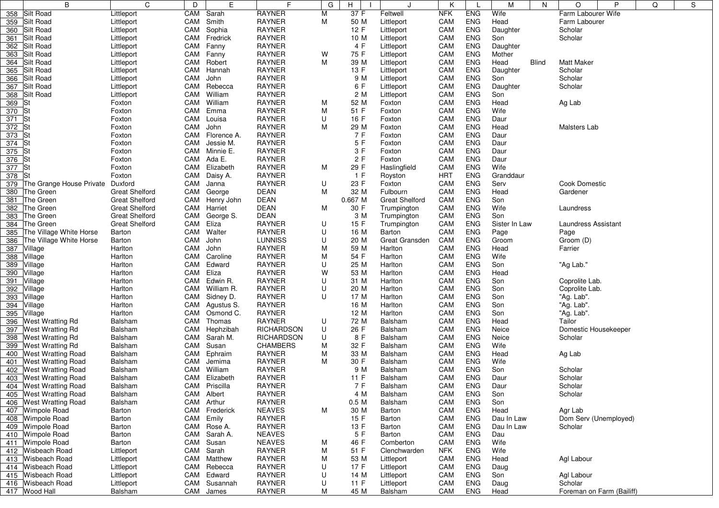|     | B                         | C                     | D   | E             | F                 | G | H       | J                     | Κ          |            | М             | N     | O                    | P                         | Q | S |  |  |
|-----|---------------------------|-----------------------|-----|---------------|-------------------|---|---------|-----------------------|------------|------------|---------------|-------|----------------------|---------------------------|---|---|--|--|
| 358 | Silt Road                 | Littleport            | CAM | Sarah         | <b>RAYNER</b>     | M | 37 F    | Feltwell              | <b>NFK</b> | <b>ENG</b> | Wife          |       | Farm Labourer Wife   |                           |   |   |  |  |
| 359 | Silt Road                 | Littleport            | CAM | Smith         | <b>RAYNER</b>     | M | 50 M    | Littleport            | CAM        | <b>ENG</b> | Head          |       | Farm Labourer        |                           |   |   |  |  |
| 360 | Silt Road                 | Littleport            | CAM | Sophia        | <b>RAYNER</b>     |   | 12 F    | Littleport            | CAM        | <b>ENG</b> | Daughter      |       | Scholar              |                           |   |   |  |  |
| 361 | Silt Road                 | Littleport            | CAM | Fredrick      | <b>RAYNER</b>     |   | 10 M    | Littleport            | CAM        | <b>ENG</b> | Son           |       | Scholar              |                           |   |   |  |  |
| 362 | Silt Road                 | Littleport            | CAM | Fanny         | <b>RAYNER</b>     |   | 4 F     | Littleport            | CAM        | <b>ENG</b> | Daughter      |       |                      |                           |   |   |  |  |
| 363 | Silt Road                 | Littleport            | CAM | Fanny         | <b>RAYNER</b>     | W | 75 F    | Littleport            | CAM        | <b>ENG</b> | Mother        |       |                      |                           |   |   |  |  |
| 364 | Silt Road                 | Littleport            | CAM | Robert        | <b>RAYNER</b>     | M | 39 M    | Littleport            | CAM        | <b>ENG</b> | Head          | Blind | <b>Matt Maker</b>    |                           |   |   |  |  |
| 365 | Silt Road                 | Littleport            | CAM | Hannah        | <b>RAYNER</b>     |   | 13 F    | Littleport            | CAM        | <b>ENG</b> | Daughter      |       | Scholar              |                           |   |   |  |  |
| 366 | Silt Road                 | Littleport            | CAM | John          | <b>RAYNER</b>     |   | 9 M     | Littleport            | CAM        | <b>ENG</b> | Son           |       | Scholar              |                           |   |   |  |  |
| 367 | Silt Road                 | Littleport            | CAM | Rebecca       | <b>RAYNER</b>     |   | 6 F     | Littleport            | CAM        | <b>ENG</b> | Daughter      |       | Scholar              |                           |   |   |  |  |
| 368 | Silt Road                 | Littleport            | CAM | William       | <b>RAYNER</b>     |   | 2 M     | Littleport            | CAM        | <b>ENG</b> | Son           |       |                      |                           |   |   |  |  |
| 369 |                           | Foxton                | CAM | William       | <b>RAYNER</b>     | M | 52 M    | Foxton                | CAM        | <b>ENG</b> | Head          |       | Ag Lab               |                           |   |   |  |  |
| 370 | St                        | Foxton                | CAM | Emma          | <b>RAYNER</b>     | M | 51 F    | Foxton                | CAM        | <b>ENG</b> | Wife          |       |                      |                           |   |   |  |  |
| 371 | <b>St</b>                 | Foxton                | CAM | Louisa        | <b>RAYNER</b>     | U | 16 F    | Foxton                | CAM        | <b>ENG</b> | Daur          |       |                      |                           |   |   |  |  |
| 372 |                           | Foxton                | CAM | John          | <b>RAYNER</b>     | M | 29 M    | Foxton                | CAM        | <b>ENG</b> | Head          |       | Malsters Lab         |                           |   |   |  |  |
| 373 | lSt                       | Foxton                | CAM | Florence A.   | <b>RAYNER</b>     |   | 7 F     | Foxton                | CAM        | <b>ENG</b> | Daur          |       |                      |                           |   |   |  |  |
| 374 |                           | Foxton                | CAM | Jessie M.     | <b>RAYNER</b>     |   | 5 F     | Foxton                | CAM        | <b>ENG</b> | Daur          |       |                      |                           |   |   |  |  |
| 375 |                           | Foxton                |     | CAM Minnie E. | <b>RAYNER</b>     |   | 3 F     | Foxton                | CAM        | <b>ENG</b> | Daur          |       |                      |                           |   |   |  |  |
| 376 |                           | Foxton                | CAM | Ada E.        | <b>RAYNER</b>     |   | 2F      | Foxton                | CAM        | <b>ENG</b> | Daur          |       |                      |                           |   |   |  |  |
| 377 |                           | Foxton                | CAM | Elizabeth     | <b>RAYNER</b>     | М | 29 F    | Haslingfield          | CAM        | <b>ENG</b> | Wife          |       |                      |                           |   |   |  |  |
|     |                           |                       | CAM |               | <b>RAYNER</b>     |   | 1 F     |                       | <b>HRT</b> | <b>ENG</b> | Granddaur     |       |                      |                           |   |   |  |  |
| 378 |                           | Foxton                |     | Daisy A.      |                   |   |         | Royston               |            |            |               |       |                      |                           |   |   |  |  |
| 379 | The Grange House Private  | Duxford               | CAM | Janna         | <b>RAYNER</b>     | U | 23 F    | Foxton                | CAM        | <b>ENG</b> | Serv          |       | <b>Cook Domestic</b> |                           |   |   |  |  |
| 380 | The Green                 | <b>Great Shelford</b> | CAM | George        | DEAN              | M | 32 M    | Fulbourn              | CAM        | <b>ENG</b> | Head          |       | Gardener             |                           |   |   |  |  |
| 381 | The Green                 | <b>Great Shelford</b> | CAM | Henry John    | <b>DEAN</b>       |   | 0.667 M | <b>Great Shelford</b> | CAM        | <b>ENG</b> | Son           |       |                      |                           |   |   |  |  |
| 382 | The Green                 | <b>Great Shelford</b> |     | CAM Harriet   | <b>DEAN</b>       | M | 30 F    | Trumpington           | CAM        | <b>ENG</b> | Wife          |       | Laundress            |                           |   |   |  |  |
| 383 | The Green                 | <b>Great Shelford</b> | CAM | George S.     | <b>DEAN</b>       |   | 3 M     | Trumpington           | CAM        | <b>ENG</b> | Son           |       |                      |                           |   |   |  |  |
| 384 | The Green                 | <b>Great Shelford</b> | CAM | Eliza         | <b>RAYNER</b>     | U | 15 F    | Trumpington           | CAM        | <b>ENG</b> | Sister In Law |       | Laundress Assistant  |                           |   |   |  |  |
| 385 | The Village White Horse   | Barton                | CAM | Walter        | <b>RAYNER</b>     | U | 16 M    | Barton                | CAM        | <b>ENG</b> | Page          |       | Page                 |                           |   |   |  |  |
| 386 | The Village White Horse   | Barton                | CAM | John          | <b>LUNNISS</b>    | U | 20 M    | Great Gransden        | CAM        | <b>ENG</b> | Groom         |       | Groom (D)            |                           |   |   |  |  |
| 387 | Village                   | Harlton               | CAM | John          | <b>RAYNER</b>     | M | 59 M    | Harlton               | CAM        | <b>ENG</b> | Head          |       | Farrier              |                           |   |   |  |  |
| 388 | Village                   | Harlton               | CAM | Caroline      | <b>RAYNER</b>     | M | 54 F    | Harlton               | CAM        | <b>ENG</b> | Wife          |       |                      |                           |   |   |  |  |
| 389 | Village                   | Harlton               | CAM | Edward        | <b>RAYNER</b>     | U | 25 M    | Harlton               | CAM        | <b>ENG</b> | Son           |       | "Ag Lab."            |                           |   |   |  |  |
| 390 | Village                   | Harlton               | CAM | Eliza         | <b>RAYNER</b>     | W | 53 M    | Harlton               | CAM        | <b>ENG</b> | Head          |       |                      |                           |   |   |  |  |
| 391 | Village                   | Harlton               | CAM | Edwin R.      | <b>RAYNER</b>     | U | 31 M    | Harlton               | CAM        | <b>ENG</b> | Son           |       | Coprolite Lab.       |                           |   |   |  |  |
| 392 | Village                   | Harlton               | CAM | William R.    | <b>RAYNER</b>     | U | 20 M    | Harlton               | CAM        | <b>ENG</b> | Son           |       | Coprolite Lab.       |                           |   |   |  |  |
| 393 | Village                   | Harlton               | CAM | Sidney D.     | <b>RAYNER</b>     | U | 17 M    | Harlton               | CAM        | <b>ENG</b> | Son           |       | "Ag. Lab".           |                           |   |   |  |  |
| 394 | Village                   | Harlton               | CAM | Agustus S.    | <b>RAYNER</b>     |   | 16 M    | Harlton               | CAM        | <b>ENG</b> | Son           |       | "Ag. Lab".           |                           |   |   |  |  |
| 395 | Village                   | Harlton               | CAM | Osmond C.     | <b>RAYNER</b>     |   | 12 M    | Harlton               | CAM        | <b>ENG</b> | Son           |       | "Ag. Lab".           |                           |   |   |  |  |
| 396 | <b>West Wratting Rd</b>   | Balsham               | CAM | Thomas        | <b>RAYNER</b>     | U | 72 M    | Balsham               | CAM        | <b>ENG</b> | Head          |       | Tailor               |                           |   |   |  |  |
| 397 | West Wratting Rd          | <b>Balsham</b>        | CAM | Hephzibah     | <b>RICHARDSON</b> | U | 26 F    | Balsham               | CAM        | <b>ENG</b> | Neice         |       | Domestic Housekeeper |                           |   |   |  |  |
| 398 | West Wratting Rd          | Balsham               | CAM | Sarah M.      | <b>RICHARDSON</b> | U | 8 F     | Balsham               | CAM        | <b>ENG</b> | Neice         |       | Scholar              |                           |   |   |  |  |
| 399 | <b>West Wratting Rd</b>   | Balsham               | CAM | Susan         | <b>CHAMBERS</b>   | М | 32 F    | Balsham               | CAM        | <b>ENG</b> | Wife          |       |                      |                           |   |   |  |  |
| 400 | <b>West Wratting Road</b> | Balsham               | CAM | Ephraim       | <b>RAYNER</b>     | M | 33 M    | Balsham               | CAM        | <b>ENG</b> | Head          |       | Ag Lab               |                           |   |   |  |  |
| 401 | <b>West Wratting Road</b> | <b>Balsham</b>        | CAM | Jemima        | <b>RAYNER</b>     | M | 30 F    | Balsham               | CAM        | <b>ENG</b> | Wife          |       |                      |                           |   |   |  |  |
| 402 | <b>West Wratting Road</b> | Balsham               | CAM | William       | <b>RAYNER</b>     |   | 9 M     | Balsham               | CAM        | <b>ENG</b> | Son           |       | Scholar              |                           |   |   |  |  |
|     | 403 West Wratting Road    | Balsham               | CAM | Elizabeth     | <b>RAYNER</b>     |   | 11 F    | Balsham               | CAM        | <b>ENG</b> | Daur          |       | Scholar              |                           |   |   |  |  |
|     | 404 West Wratting Road    | Balsham               | CAM | Priscilla     | RAYNER            |   | 7 F     | Balsham               | CAM        | ENG        | Daur          |       | Scholar              |                           |   |   |  |  |
| 405 | West Wratting Road        | Balsham               |     | CAM Albert    | RAYNER            |   | 4 M     | Balsham               | CAM        | <b>ENG</b> | Son           |       | Scholar              |                           |   |   |  |  |
| 406 | <b>West Wratting Road</b> | Balsham               |     | CAM Arthur    | RAYNER            |   | 0.5 M   | Balsham               | CAM        | <b>ENG</b> | Son           |       |                      |                           |   |   |  |  |
| 407 | <b>Wimpole Road</b>       | Barton                | CAM | Frederick     | <b>NEAVES</b>     | M | 30 M    | Barton                | CAM        | <b>ENG</b> | Head          |       | Agr Lab              |                           |   |   |  |  |
| 408 | <b>Wimpole Road</b>       | Barton                | CAM | Emily         | <b>RAYNER</b>     |   | 15 F    | Barton                | CAM        | <b>ENG</b> | Dau In Law    |       |                      | Dom Serv (Unemployed)     |   |   |  |  |
| 409 | <b>Wimpole Road</b>       | Barton                | CAM | Rose A.       | RAYNER            |   | 13 F    | Barton                | CAM        | <b>ENG</b> | Dau In Law    |       | Scholar              |                           |   |   |  |  |
| 410 | Wimpole Road              | Barton                | CAM | Sarah A.      | <b>NEAVES</b>     |   | 5 F     | Barton                | CAM        | <b>ENG</b> | Dau           |       |                      |                           |   |   |  |  |
| 411 | Wimpole Road              | Barton                | CAM | Susan         | <b>NEAVES</b>     | M | 46 F    | Comberton             | CAM        | <b>ENG</b> | Wife          |       |                      |                           |   |   |  |  |
| 412 | Wisbeach Road             | Littleport            | CAM | Sarah         | RAYNER            | M | 51 F    | Clenchwarden          | <b>NFK</b> | <b>ENG</b> | Wife          |       |                      |                           |   |   |  |  |
| 413 | <b>Wisbeach Road</b>      | Littleport            |     | CAM Matthew   | <b>RAYNER</b>     | M | 53 M    | Littleport            | CAM        | <b>ENG</b> | Head          |       | Agl Labour           |                           |   |   |  |  |
|     | Wisbeach Road             |                       | CAM | Rebecca       | <b>RAYNER</b>     |   | 17F     | Littleport            | CAM        | <b>ENG</b> |               |       |                      |                           |   |   |  |  |
| 414 |                           | Littleport            |     |               |                   | U | 14 M    |                       |            |            | Daug          |       |                      |                           |   |   |  |  |
| 415 | Wisbeach Road             | Littleport            | CAM | Edward        | <b>RAYNER</b>     | U |         | Littleport            | CAM        | <b>ENG</b> | Son           |       | Agl Labour           |                           |   |   |  |  |
| 416 | Wisbeach Road             | Littleport            | CAM | Susannah      | RAYNER            | U | 11 F    | Littleport            | CAM        | <b>ENG</b> | Daug          |       | Scholar              |                           |   |   |  |  |
| 417 | Wood Hall                 | Balsham               | CAM | James         | RAYNER            | M | 45 M    | Balsham               | CAM        | ENG        | Head          |       |                      | Foreman on Farm (Bailiff) |   |   |  |  |